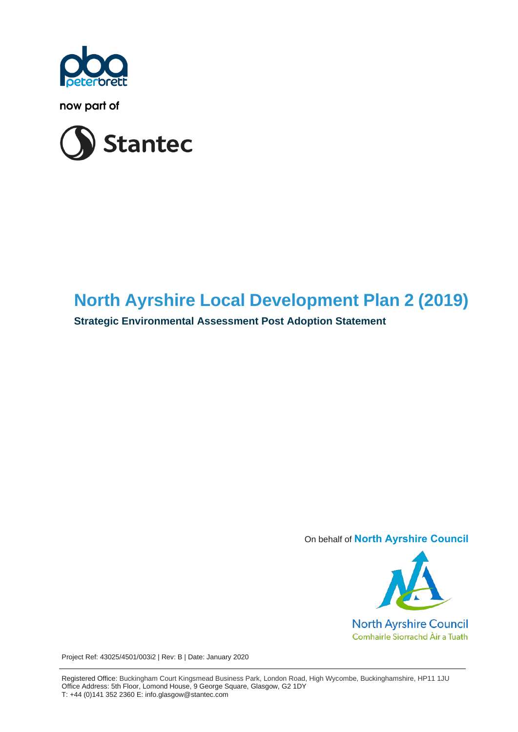

now part of



# **North Ayrshire Local Development Plan 2 (2019)**

**Strategic Environmental Assessment Post Adoption Statement**

On behalf of **North Ayrshire Council**



Project Ref: 43025/4501/003i2 | Rev: B | Date: January 2020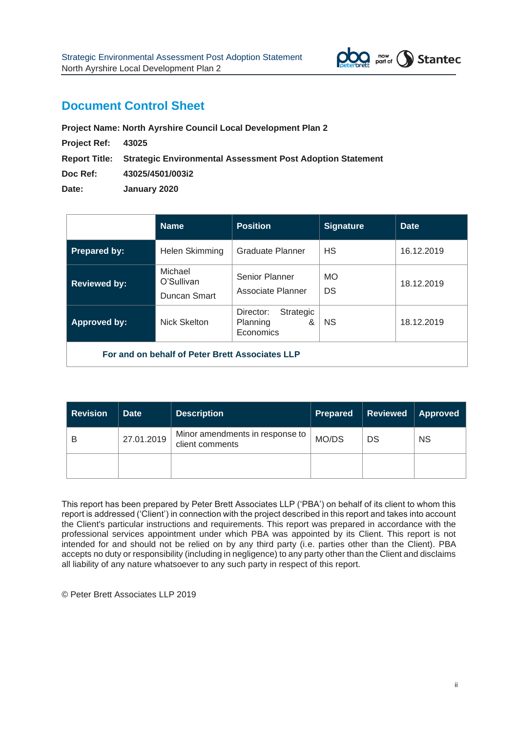

## **Document Control Sheet**

**Project Name: North Ayrshire Council Local Development Plan 2 Project Ref: 43025 Report Title: Strategic Environmental Assessment Post Adoption Statement Doc Ref: 43025/4501/003i2 Date: January 2020**

|                                                 | <b>Name</b>                           | <b>Position</b>                                      | <b>Signature</b> | <b>Date</b> |
|-------------------------------------------------|---------------------------------------|------------------------------------------------------|------------------|-------------|
| <b>Prepared by:</b>                             | Helen Skimming                        | Graduate Planner                                     | <b>HS</b>        | 16.12.2019  |
| <b>Reviewed by:</b>                             | Michael<br>O'Sullivan<br>Duncan Smart | Senior Planner<br>Associate Planner                  | <b>MO</b><br>DS  | 18.12.2019  |
| <b>Approved by:</b>                             | Nick Skelton                          | Strategic<br>Director:<br>&<br>Planning<br>Economics | <b>NS</b>        | 18.12.2019  |
| For and on behalf of Peter Brett Associates LLP |                                       |                                                      |                  |             |

| <b>Revision</b> | <b>Date</b> | <b>Description</b>                                 | <b>Prepared</b> |    | Reviewed   Approved |
|-----------------|-------------|----------------------------------------------------|-----------------|----|---------------------|
|                 | 27.01.2019  | Minor amendments in response to<br>client comments | MO/DS           | DS | <b>NS</b>           |
|                 |             |                                                    |                 |    |                     |

This report has been prepared by Peter Brett Associates LLP ('PBA') on behalf of its client to whom this report is addressed ('Client') in connection with the project described in this report and takes into account the Client's particular instructions and requirements. This report was prepared in accordance with the professional services appointment under which PBA was appointed by its Client. This report is not intended for and should not be relied on by any third party (i.e. parties other than the Client). PBA accepts no duty or responsibility (including in negligence) to any party other than the Client and disclaims all liability of any nature whatsoever to any such party in respect of this report.

© Peter Brett Associates LLP 2019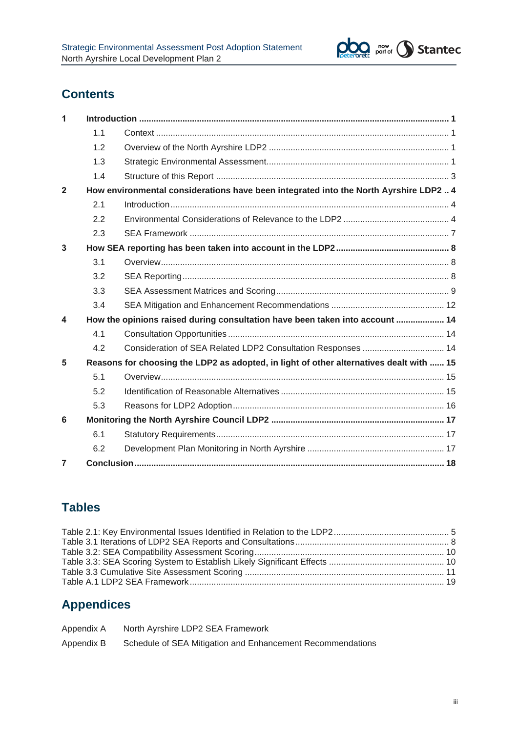

## **Contents**

| $\blacktriangleleft$ |     |                                                                                         |  |
|----------------------|-----|-----------------------------------------------------------------------------------------|--|
|                      | 1.1 |                                                                                         |  |
|                      | 1.2 |                                                                                         |  |
|                      | 1.3 |                                                                                         |  |
|                      | 1.4 |                                                                                         |  |
| $\mathbf{2}$         |     | How environmental considerations have been integrated into the North Ayrshire LDP2  4   |  |
|                      | 2.1 |                                                                                         |  |
|                      | 2.2 |                                                                                         |  |
|                      | 2.3 |                                                                                         |  |
| 3                    |     |                                                                                         |  |
|                      | 3.1 |                                                                                         |  |
|                      | 3.2 |                                                                                         |  |
|                      | 3.3 |                                                                                         |  |
|                      | 3.4 |                                                                                         |  |
| 4                    |     | How the opinions raised during consultation have been taken into account  14            |  |
|                      | 4.1 |                                                                                         |  |
|                      | 4.2 | Consideration of SEA Related LDP2 Consultation Responses  14                            |  |
| 5                    |     | Reasons for choosing the LDP2 as adopted, in light of other alternatives dealt with  15 |  |
|                      | 5.1 |                                                                                         |  |
|                      | 5.2 |                                                                                         |  |
|                      | 5.3 |                                                                                         |  |
| 6                    |     |                                                                                         |  |
|                      | 6.1 |                                                                                         |  |
|                      | 6.2 |                                                                                         |  |
| $\overline{7}$       |     |                                                                                         |  |

## **Tables**

## **Appendices**

| Appendix A | North Ayrshire LDP2 SEA Framework                          |
|------------|------------------------------------------------------------|
| Appendix B | Schedule of SEA Mitigation and Enhancement Recommendations |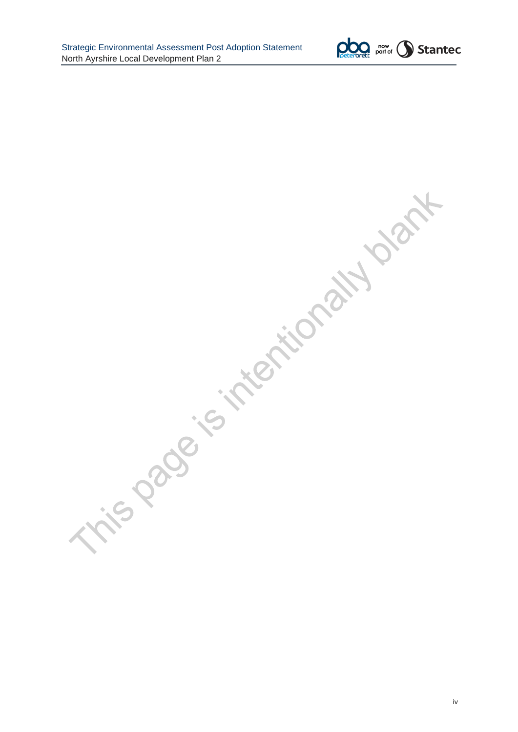

This page is intentionally bank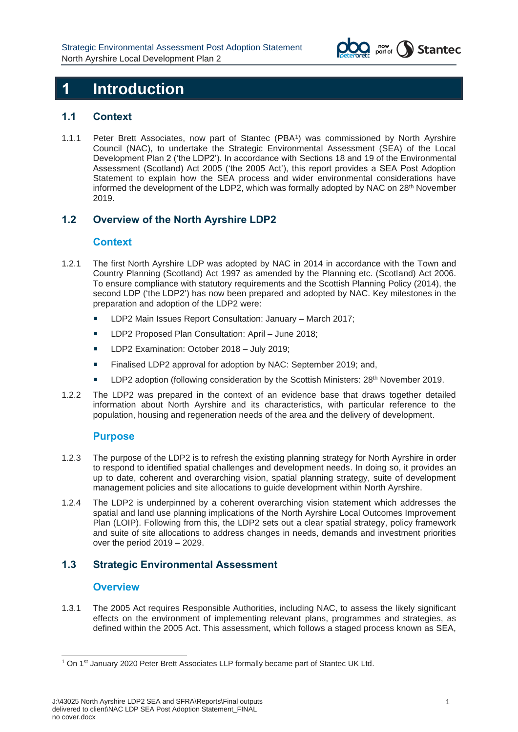

## <span id="page-4-0"></span>**1 Introduction**

#### <span id="page-4-1"></span>**1.1 Context**

1.1.1 Peter Brett Associates, now part of Stantec (PBA<sup>1</sup> ) was commissioned by North Ayrshire Council (NAC), to undertake the Strategic Environmental Assessment (SEA) of the Local Development Plan 2 ('the LDP2'). In accordance with Sections 18 and 19 of the Environmental Assessment (Scotland) Act 2005 ('the 2005 Act'), this report provides a SEA Post Adoption Statement to explain how the SEA process and wider environmental considerations have informed the development of the LDP2, which was formally adopted by NAC on  $28<sup>th</sup>$  November 2019.

#### <span id="page-4-2"></span>**1.2 Overview of the North Ayrshire LDP2**

#### **Context**

- 1.2.1 The first North Ayrshire LDP was adopted by NAC in 2014 in accordance with the Town and Country Planning (Scotland) Act 1997 as amended by the Planning etc. (Scotland) Act 2006. To ensure compliance with statutory requirements and the Scottish Planning Policy (2014), the second LDP ('the LDP2') has now been prepared and adopted by NAC. Key milestones in the preparation and adoption of the LDP2 were:
	- **LDP2 Main Issues Report Consultation: January March 2017;**
	- **LDP2 Proposed Plan Consultation: April June 2018;**
	- **LDP2 Examination: October 2018 July 2019:**
	- **Finalised LDP2 approval for adoption by NAC: September 2019; and,**
	- **LDP2** adoption (following consideration by the Scottish Ministers: 28<sup>th</sup> November 2019.
- 1.2.2 The LDP2 was prepared in the context of an evidence base that draws together detailed information about North Ayrshire and its characteristics, with particular reference to the population, housing and regeneration needs of the area and the delivery of development.

#### **Purpose**

- 1.2.3 The purpose of the LDP2 is to refresh the existing planning strategy for North Ayrshire in order to respond to identified spatial challenges and development needs. In doing so, it provides an up to date, coherent and overarching vision, spatial planning strategy, suite of development management policies and site allocations to guide development within North Ayrshire.
- 1.2.4 The LDP2 is underpinned by a coherent overarching vision statement which addresses the spatial and land use planning implications of the North Ayrshire Local Outcomes Improvement Plan (LOIP). Following from this, the LDP2 sets out a clear spatial strategy, policy framework and suite of site allocations to address changes in needs, demands and investment priorities over the period 2019 – 2029.

#### <span id="page-4-3"></span>**1.3 Strategic Environmental Assessment**

#### **Overview**

1.3.1 The 2005 Act requires Responsible Authorities, including NAC, to assess the likely significant effects on the environment of implementing relevant plans, programmes and strategies, as defined within the 2005 Act. This assessment, which follows a staged process known as SEA,

<sup>&</sup>lt;sup>1</sup> On 1<sup>st</sup> January 2020 Peter Brett Associates LLP formally became part of Stantec UK Ltd.

J:\43025 North Ayrshire LDP2 SEA and SFRA\Reports\Final outputs delivered to client\NAC LDP SEA Post Adoption Statement\_FINAL no cover.docx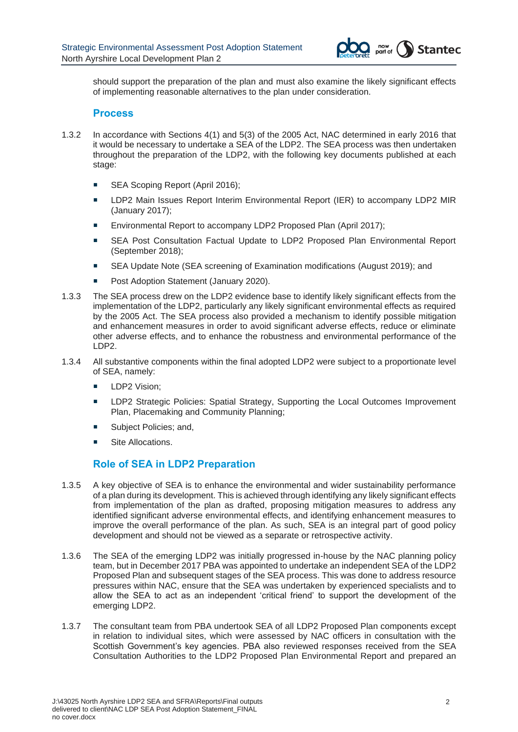

should support the preparation of the plan and must also examine the likely significant effects of implementing reasonable alternatives to the plan under consideration.

#### **Process**

- 1.3.2 In accordance with Sections 4(1) and 5(3) of the 2005 Act, NAC determined in early 2016 that it would be necessary to undertake a SEA of the LDP2. The SEA process was then undertaken throughout the preparation of the LDP2, with the following key documents published at each stage:
	- SEA Scoping Report (April 2016);
	- **LDP2 Main Issues Report Interim Environmental Report (IER) to accompany LDP2 MIR** (January 2017);
	- Environmental Report to accompany LDP2 Proposed Plan (April 2017);
	- **EXEM** SEA Post Consultation Factual Update to LDP2 Proposed Plan Environmental Report (September 2018);
	- SEA Update Note (SEA screening of Examination modifications (August 2019); and
	- Post Adoption Statement (January 2020).
- 1.3.3 The SEA process drew on the LDP2 evidence base to identify likely significant effects from the implementation of the LDP2, particularly any likely significant environmental effects as required by the 2005 Act. The SEA process also provided a mechanism to identify possible mitigation and enhancement measures in order to avoid significant adverse effects, reduce or eliminate other adverse effects, and to enhance the robustness and environmental performance of the LDP2.
- 1.3.4 All substantive components within the final adopted LDP2 were subject to a proportionate level of SEA, namely:
	- **LDP2** Vision:
	- **LDP2 Strategic Policies: Spatial Strategy, Supporting the Local Outcomes Improvement** Plan, Placemaking and Community Planning;
	- Subject Policies: and.
	- Site Allocations.

#### **Role of SEA in LDP2 Preparation**

- 1.3.5 A key objective of SEA is to enhance the environmental and wider sustainability performance of a plan during its development. This is achieved through identifying any likely significant effects from implementation of the plan as drafted, proposing mitigation measures to address any identified significant adverse environmental effects, and identifying enhancement measures to improve the overall performance of the plan. As such, SEA is an integral part of good policy development and should not be viewed as a separate or retrospective activity.
- 1.3.6 The SEA of the emerging LDP2 was initially progressed in-house by the NAC planning policy team, but in December 2017 PBA was appointed to undertake an independent SEA of the LDP2 Proposed Plan and subsequent stages of the SEA process. This was done to address resource pressures within NAC, ensure that the SEA was undertaken by experienced specialists and to allow the SEA to act as an independent 'critical friend' to support the development of the emerging LDP2.
- 1.3.7 The consultant team from PBA undertook SEA of all LDP2 Proposed Plan components except in relation to individual sites, which were assessed by NAC officers in consultation with the Scottish Government's key agencies. PBA also reviewed responses received from the SEA Consultation Authorities to the LDP2 Proposed Plan Environmental Report and prepared an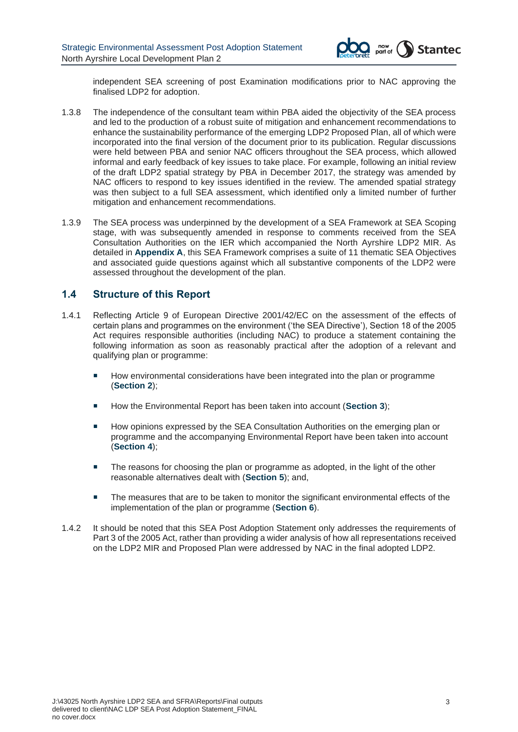

independent SEA screening of post Examination modifications prior to NAC approving the finalised LDP2 for adoption.

- 1.3.8 The independence of the consultant team within PBA aided the objectivity of the SEA process and led to the production of a robust suite of mitigation and enhancement recommendations to enhance the sustainability performance of the emerging LDP2 Proposed Plan, all of which were incorporated into the final version of the document prior to its publication. Regular discussions were held between PBA and senior NAC officers throughout the SEA process, which allowed informal and early feedback of key issues to take place. For example, following an initial review of the draft LDP2 spatial strategy by PBA in December 2017, the strategy was amended by NAC officers to respond to key issues identified in the review. The amended spatial strategy was then subject to a full SEA assessment, which identified only a limited number of further mitigation and enhancement recommendations.
- 1.3.9 The SEA process was underpinned by the development of a SEA Framework at SEA Scoping stage, with was subsequently amended in response to comments received from the SEA Consultation Authorities on the IER which accompanied the North Ayrshire LDP2 MIR. As detailed in **Appendix A**, this SEA Framework comprises a suite of 11 thematic SEA Objectives and associated guide questions against which all substantive components of the LDP2 were assessed throughout the development of the plan.

#### <span id="page-6-0"></span>**1.4 Structure of this Report**

- 1.4.1 Reflecting Article 9 of European Directive 2001/42/EC on the assessment of the effects of certain plans and programmes on the environment ('the SEA Directive'), Section 18 of the 2005 Act requires responsible authorities (including NAC) to produce a statement containing the following information as soon as reasonably practical after the adoption of a relevant and qualifying plan or programme:
	- How environmental considerations have been integrated into the plan or programme (**Section 2**);
	- How the Environmental Report has been taken into account (Section 3);
	- How opinions expressed by the SEA Consultation Authorities on the emerging plan or programme and the accompanying Environmental Report have been taken into account (**Section 4**);
	- **The reasons for choosing the plan or programme as adopted, in the light of the other** reasonable alternatives dealt with (**Section 5**); and,
	- **The measures that are to be taken to monitor the significant environmental effects of the** implementation of the plan or programme (**Section 6**).
- 1.4.2 It should be noted that this SEA Post Adoption Statement only addresses the requirements of Part 3 of the 2005 Act, rather than providing a wider analysis of how all representations received on the LDP2 MIR and Proposed Plan were addressed by NAC in the final adopted LDP2.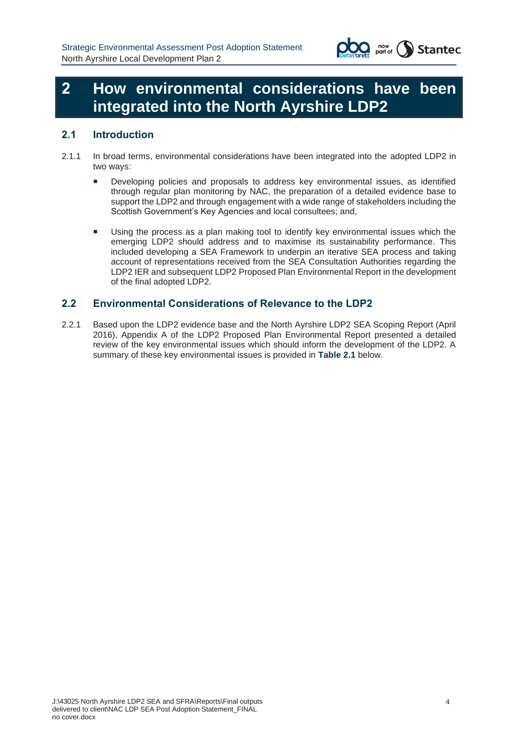

# <span id="page-7-0"></span>**2 How environmental considerations have been integrated into the North Ayrshire LDP2**

#### <span id="page-7-1"></span>**2.1 Introduction**

- 2.1.1 In broad terms, environmental considerations have been integrated into the adopted LDP2 in two ways:
	- **Developing policies and proposals to address key environmental issues, as identified** through regular plan monitoring by NAC, the preparation of a detailed evidence base to support the LDP2 and through engagement with a wide range of stakeholders including the Scottish Government's Key Agencies and local consultees; and,
	- Using the process as a plan making tool to identify key environmental issues which the emerging LDP2 should address and to maximise its sustainability performance. This included developing a SEA Framework to underpin an iterative SEA process and taking account of representations received from the SEA Consultation Authorities regarding the LDP2 IER and subsequent LDP2 Proposed Plan Environmental Report in the development of the final adopted LDP2.

#### <span id="page-7-2"></span>**2.2 Environmental Considerations of Relevance to the LDP2**

2.2.1 Based upon the LDP2 evidence base and the North Ayrshire LDP2 SEA Scoping Report (April 2016), Appendix A of the LDP2 Proposed Plan Environmental Report presented a detailed review of the key environmental issues which should inform the development of the LDP2. A summary of these key environmental issues is provided in **Table 2.1** below.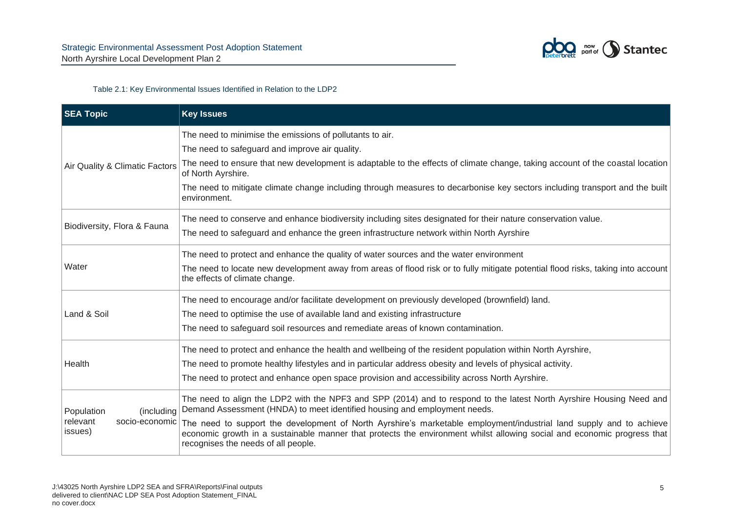

#### Table 2.1: Key Environmental Issues Identified in Relation to the LDP2

<span id="page-8-0"></span>

| <b>SEA Topic</b>                                                  | <b>Key Issues</b>                                                                                                                                                                                                                                                                     |
|-------------------------------------------------------------------|---------------------------------------------------------------------------------------------------------------------------------------------------------------------------------------------------------------------------------------------------------------------------------------|
|                                                                   | The need to minimise the emissions of pollutants to air.                                                                                                                                                                                                                              |
|                                                                   | The need to safeguard and improve air quality.                                                                                                                                                                                                                                        |
| Air Quality & Climatic Factors                                    | The need to ensure that new development is adaptable to the effects of climate change, taking account of the coastal location<br>of North Ayrshire.                                                                                                                                   |
|                                                                   | The need to mitigate climate change including through measures to decarbonise key sectors including transport and the built<br>environment.                                                                                                                                           |
|                                                                   | The need to conserve and enhance biodiversity including sites designated for their nature conservation value.                                                                                                                                                                         |
| Biodiversity, Flora & Fauna                                       | The need to safeguard and enhance the green infrastructure network within North Ayrshire                                                                                                                                                                                              |
|                                                                   | The need to protect and enhance the quality of water sources and the water environment                                                                                                                                                                                                |
| Water                                                             | The need to locate new development away from areas of flood risk or to fully mitigate potential flood risks, taking into account<br>the effects of climate change.                                                                                                                    |
|                                                                   | The need to encourage and/or facilitate development on previously developed (brownfield) land.                                                                                                                                                                                        |
| Land & Soil                                                       | The need to optimise the use of available land and existing infrastructure                                                                                                                                                                                                            |
|                                                                   | The need to safeguard soil resources and remediate areas of known contamination.                                                                                                                                                                                                      |
|                                                                   | The need to protect and enhance the health and wellbeing of the resident population within North Ayrshire,                                                                                                                                                                            |
| Health                                                            | The need to promote healthy lifestyles and in particular address obesity and levels of physical activity.                                                                                                                                                                             |
|                                                                   | The need to protect and enhance open space provision and accessibility across North Ayrshire.                                                                                                                                                                                         |
| Population<br>(including<br>relevant<br>socio-economic<br>issues) | The need to align the LDP2 with the NPF3 and SPP (2014) and to respond to the latest North Ayrshire Housing Need and<br>Demand Assessment (HNDA) to meet identified housing and employment needs.                                                                                     |
|                                                                   | The need to support the development of North Ayrshire's marketable employment/industrial land supply and to achieve<br>economic growth in a sustainable manner that protects the environment whilst allowing social and economic progress that<br>recognises the needs of all people. |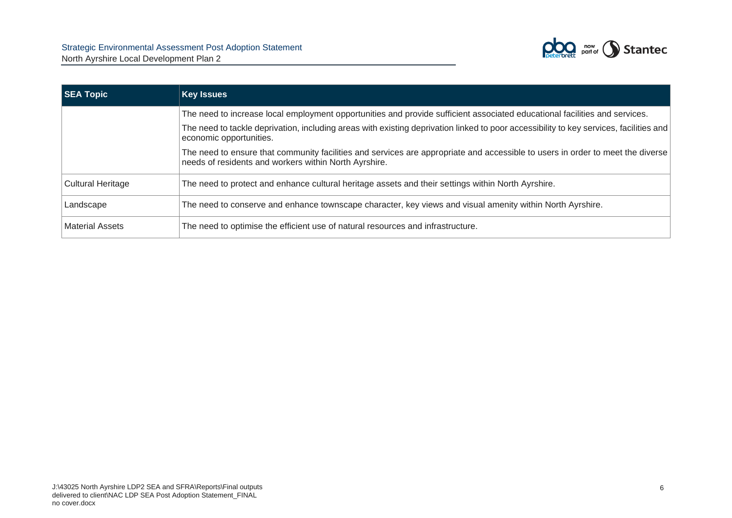

| <b>SEA Topic</b>         | <b>Key Issues</b>                                                                                                                                                                       |
|--------------------------|-----------------------------------------------------------------------------------------------------------------------------------------------------------------------------------------|
|                          | The need to increase local employment opportunities and provide sufficient associated educational facilities and services.                                                              |
|                          | The need to tackle deprivation, including areas with existing deprivation linked to poor accessibility to key services, facilities and<br>economic opportunities.                       |
|                          | The need to ensure that community facilities and services are appropriate and accessible to users in order to meet the diverse<br>needs of residents and workers within North Ayrshire. |
| <b>Cultural Heritage</b> | The need to protect and enhance cultural heritage assets and their settings within North Ayrshire.                                                                                      |
| Landscape                | The need to conserve and enhance townscape character, key views and visual amenity within North Ayrshire.                                                                               |
| <b>Material Assets</b>   | The need to optimise the efficient use of natural resources and infrastructure.                                                                                                         |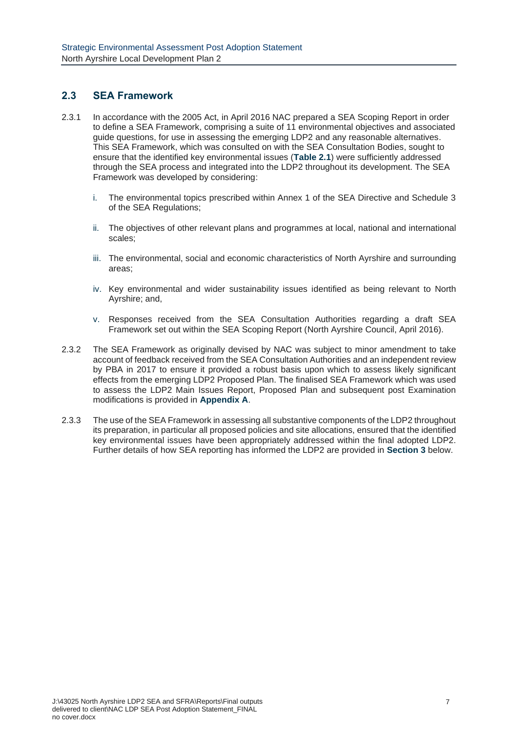#### <span id="page-10-0"></span>**2.3 SEA Framework**

- 2.3.1 In accordance with the 2005 Act, in April 2016 NAC prepared a SEA Scoping Report in order to define a SEA Framework, comprising a suite of 11 environmental objectives and associated guide questions, for use in assessing the emerging LDP2 and any reasonable alternatives. This SEA Framework, which was consulted on with the SEA Consultation Bodies, sought to ensure that the identified key environmental issues (**Table 2.1**) were sufficiently addressed through the SEA process and integrated into the LDP2 throughout its development. The SEA Framework was developed by considering:
	- i. The environmental topics prescribed within Annex 1 of the SEA Directive and Schedule 3 of the SEA Regulations;
	- ii. The objectives of other relevant plans and programmes at local, national and international scales;
	- iii. The environmental, social and economic characteristics of North Ayrshire and surrounding areas;
	- iv. Key environmental and wider sustainability issues identified as being relevant to North Ayrshire; and,
	- v. Responses received from the SEA Consultation Authorities regarding a draft SEA Framework set out within the SEA Scoping Report (North Ayrshire Council, April 2016).
- 2.3.2 The SEA Framework as originally devised by NAC was subject to minor amendment to take account of feedback received from the SEA Consultation Authorities and an independent review by PBA in 2017 to ensure it provided a robust basis upon which to assess likely significant effects from the emerging LDP2 Proposed Plan. The finalised SEA Framework which was used to assess the LDP2 Main Issues Report, Proposed Plan and subsequent post Examination modifications is provided in **Appendix A**.
- 2.3.3 The use of the SEA Framework in assessing all substantive components of the LDP2 throughout its preparation, in particular all proposed policies and site allocations, ensured that the identified key environmental issues have been appropriately addressed within the final adopted LDP2. Further details of how SEA reporting has informed the LDP2 are provided in **Section 3** below.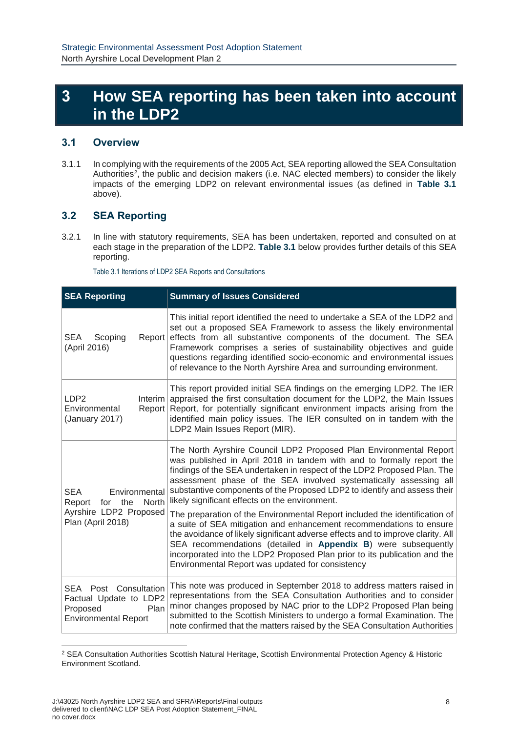# <span id="page-11-0"></span>**3 How SEA reporting has been taken into account in the LDP2**

#### <span id="page-11-1"></span>**3.1 Overview**

3.1.1 In complying with the requirements of the 2005 Act, SEA reporting allowed the SEA Consultation Authorities<sup>2</sup>, the public and decision makers (i.e. NAC elected members) to consider the likely impacts of the emerging LDP2 on relevant environmental issues (as defined in **Table 3.1** above).

### <span id="page-11-2"></span>**3.2 SEA Reporting**

3.2.1 In line with statutory requirements, SEA has been undertaken, reported and consulted on at each stage in the preparation of the LDP2. **Table 3.1** below provides further details of this SEA reporting.

Table 3.1 Iterations of LDP2 SEA Reports and Consultations

<span id="page-11-3"></span>

| <b>SEA Reporting</b>                        | <b>Summary of Issues Considered</b>                                                                                                                                                                                                                                                                                                                                                                                                            |  |  |
|---------------------------------------------|------------------------------------------------------------------------------------------------------------------------------------------------------------------------------------------------------------------------------------------------------------------------------------------------------------------------------------------------------------------------------------------------------------------------------------------------|--|--|
| Report<br>SEA<br>Scoping<br>(April 2016)    | This initial report identified the need to undertake a SEA of the LDP2 and<br>set out a proposed SEA Framework to assess the likely environmental<br>effects from all substantive components of the document. The SEA<br>Framework comprises a series of sustainability objectives and guide<br>questions regarding identified socio-economic and environmental issues<br>of relevance to the North Ayrshire Area and surrounding environment. |  |  |
| LDP <sub>2</sub>                            | This report provided initial SEA findings on the emerging LDP2. The IER                                                                                                                                                                                                                                                                                                                                                                        |  |  |
| Interim                                     | appraised the first consultation document for the LDP2, the Main Issues                                                                                                                                                                                                                                                                                                                                                                        |  |  |
| Environmental                               | Report, for potentially significant environment impacts arising from the                                                                                                                                                                                                                                                                                                                                                                       |  |  |
| Report                                      | identified main policy issues. The IER consulted on in tandem with the                                                                                                                                                                                                                                                                                                                                                                         |  |  |
| (January 2017)                              | LDP2 Main Issues Report (MIR).                                                                                                                                                                                                                                                                                                                                                                                                                 |  |  |
| <b>SEA</b>                                  | The North Ayrshire Council LDP2 Proposed Plan Environmental Report                                                                                                                                                                                                                                                                                                                                                                             |  |  |
| Environmental                               | was published in April 2018 in tandem with and to formally report the                                                                                                                                                                                                                                                                                                                                                                          |  |  |
| North                                       | findings of the SEA undertaken in respect of the LDP2 Proposed Plan. The                                                                                                                                                                                                                                                                                                                                                                       |  |  |
| Report                                      | assessment phase of the SEA involved systematically assessing all                                                                                                                                                                                                                                                                                                                                                                              |  |  |
| for                                         | substantive components of the Proposed LDP2 to identify and assess their                                                                                                                                                                                                                                                                                                                                                                       |  |  |
| the                                         | likely significant effects on the environment.                                                                                                                                                                                                                                                                                                                                                                                                 |  |  |
| Ayrshire LDP2 Proposed<br>Plan (April 2018) | The preparation of the Environmental Report included the identification of<br>a suite of SEA mitigation and enhancement recommendations to ensure<br>the avoidance of likely significant adverse effects and to improve clarity. All<br>SEA recommendations (detailed in Appendix B) were subsequently<br>incorporated into the LDP2 Proposed Plan prior to its publication and the<br>Environmental Report was updated for consistency        |  |  |
| <b>SEA</b> Post Consultation                | This note was produced in September 2018 to address matters raised in                                                                                                                                                                                                                                                                                                                                                                          |  |  |
| Factual Update to LDP2                      | representations from the SEA Consultation Authorities and to consider                                                                                                                                                                                                                                                                                                                                                                          |  |  |
| Plan                                        | minor changes proposed by NAC prior to the LDP2 Proposed Plan being                                                                                                                                                                                                                                                                                                                                                                            |  |  |
| Proposed                                    | submitted to the Scottish Ministers to undergo a formal Examination. The                                                                                                                                                                                                                                                                                                                                                                       |  |  |
| <b>Environmental Report</b>                 | note confirmed that the matters raised by the SEA Consultation Authorities                                                                                                                                                                                                                                                                                                                                                                     |  |  |

<sup>2</sup> SEA Consultation Authorities Scottish Natural Heritage, Scottish Environmental Protection Agency & Historic Environment Scotland.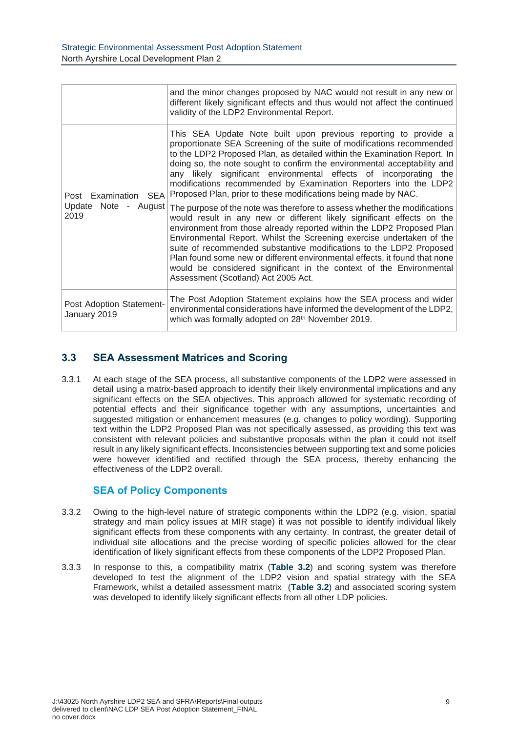|                                                         | and the minor changes proposed by NAC would not result in any new or<br>different likely significant effects and thus would not affect the continued<br>validity of the LDP2 Environmental Report.                                                                                                                                                                                                                                                                                                                                                                       |
|---------------------------------------------------------|--------------------------------------------------------------------------------------------------------------------------------------------------------------------------------------------------------------------------------------------------------------------------------------------------------------------------------------------------------------------------------------------------------------------------------------------------------------------------------------------------------------------------------------------------------------------------|
| Examination SEA<br>Post<br>Update Note - August<br>2019 | This SEA Update Note built upon previous reporting to provide a<br>proportionate SEA Screening of the suite of modifications recommended<br>to the LDP2 Proposed Plan, as detailed within the Examination Report. In<br>doing so, the note sought to confirm the environmental acceptability and<br>any likely significant environmental effects of incorporating the<br>modifications recommended by Examination Reporters into the LDP2<br>Proposed Plan, prior to these modifications being made by NAC.                                                              |
|                                                         | The purpose of the note was therefore to assess whether the modifications<br>would result in any new or different likely significant effects on the<br>environment from those already reported within the LDP2 Proposed Plan<br>Environmental Report. Whilst the Screening exercise undertaken of the<br>suite of recommended substantive modifications to the LDP2 Proposed<br>Plan found some new or different environmental effects, it found that none<br>would be considered significant in the context of the Environmental<br>Assessment (Scotland) Act 2005 Act. |
| Post Adoption Statement-<br>January 2019                | The Post Adoption Statement explains how the SEA process and wider<br>environmental considerations have informed the development of the LDP2,<br>which was formally adopted on 28 <sup>th</sup> November 2019.                                                                                                                                                                                                                                                                                                                                                           |

## <span id="page-12-0"></span>**3.3 SEA Assessment Matrices and Scoring**

3.3.1 At each stage of the SEA process, all substantive components of the LDP2 were assessed in detail using a matrix-based approach to identify their likely environmental implications and any significant effects on the SEA objectives. This approach allowed for systematic recording of potential effects and their significance together with any assumptions, uncertainties and suggested mitigation or enhancement measures (e.g. changes to policy wording). Supporting text within the LDP2 Proposed Plan was not specifically assessed, as providing this text was consistent with relevant policies and substantive proposals within the plan it could not itself result in any likely significant effects. Inconsistencies between supporting text and some policies were however identified and rectified through the SEA process, thereby enhancing the effectiveness of the LDP2 overall.

#### **SEA of Policy Components**

- 3.3.2 Owing to the high-level nature of strategic components within the LDP2 (e.g. vision, spatial strategy and main policy issues at MIR stage) it was not possible to identify individual likely significant effects from these components with any certainty. In contrast, the greater detail of individual site allocations and the precise wording of specific policies allowed for the clear identification of likely significant effects from these components of the LDP2 Proposed Plan.
- 3.3.3 In response to this, a compatibility matrix (**Table 3.2**) and scoring system was therefore developed to test the alignment of the LDP2 vision and spatial strategy with the SEA Framework, whilst a detailed assessment matrix (**Table 3.2**) and associated scoring system was developed to identify likely significant effects from all other LDP policies.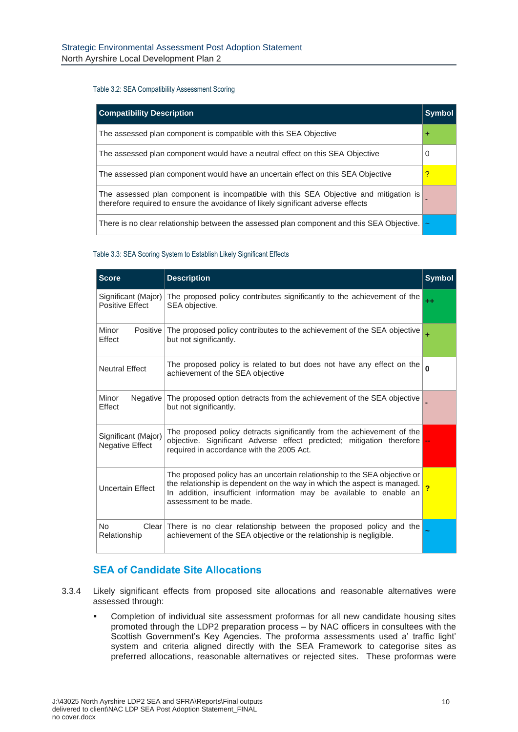#### <span id="page-13-0"></span>Table 3.2: SEA Compatibility Assessment Scoring

| <b>Compatibility Description</b>                                                                                                                                          | <b>Symbol</b> |
|---------------------------------------------------------------------------------------------------------------------------------------------------------------------------|---------------|
| The assessed plan component is compatible with this SEA Objective                                                                                                         | ÷             |
| The assessed plan component would have a neutral effect on this SEA Objective                                                                                             |               |
| The assessed plan component would have an uncertain effect on this SEA Objective                                                                                          |               |
| The assessed plan component is incompatible with this SEA Objective and mitigation is<br>therefore required to ensure the avoidance of likely significant adverse effects |               |
| There is no clear relationship between the assessed plan component and this SEA Objective.                                                                                |               |

#### <span id="page-13-1"></span>Table 3.3: SEA Scoring System to Establish Likely Significant Effects

| <b>Score</b>                           | <b>Description</b>                                                                                                                                                                                                                                     | <b>Symbol</b>  |
|----------------------------------------|--------------------------------------------------------------------------------------------------------------------------------------------------------------------------------------------------------------------------------------------------------|----------------|
| Significant (Major)<br>Positive Effect | The proposed policy contributes significantly to the achievement of the<br>SEA objective.                                                                                                                                                              | $^{++}$        |
| Minor<br>Effect                        | Positive The proposed policy contributes to the achievement of the SEA objective<br>but not significantly.                                                                                                                                             |                |
| <b>Neutral Effect</b>                  | The proposed policy is related to but does not have any effect on the<br>achievement of the SEA objective                                                                                                                                              | 0              |
| Minor<br>Effect                        | Negative The proposed option detracts from the achievement of the SEA objective<br>but not significantly.                                                                                                                                              |                |
| Significant (Major)<br>Negative Effect | The proposed policy detracts significantly from the achievement of the<br>objective. Significant Adverse effect predicted; mitigation therefore<br>required in accordance with the 2005 Act.                                                           |                |
| <b>Uncertain Effect</b>                | The proposed policy has an uncertain relationship to the SEA objective or<br>the relationship is dependent on the way in which the aspect is managed.<br>In addition, insufficient information may be available to enable an<br>assessment to be made. | $\overline{2}$ |
| No.<br>Relationship                    | Clear There is no clear relationship between the proposed policy and the<br>achievement of the SEA objective or the relationship is negligible.                                                                                                        |                |

#### **SEA of Candidate Site Allocations**

- 3.3.4 Likely significant effects from proposed site allocations and reasonable alternatives were assessed through:
	- Completion of individual site assessment proformas for all new candidate housing sites promoted through the LDP2 preparation process – by NAC officers in consultees with the Scottish Government's Key Agencies. The proforma assessments used a' traffic light' system and criteria aligned directly with the SEA Framework to categorise sites as preferred allocations, reasonable alternatives or rejected sites. These proformas were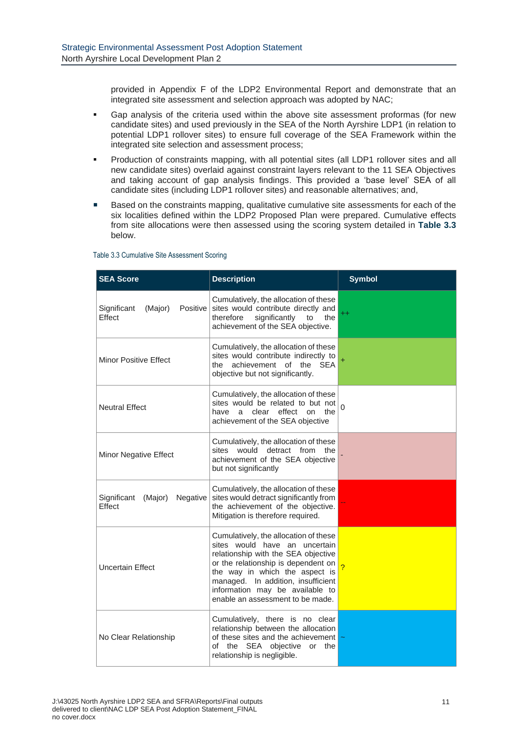provided in Appendix F of the LDP2 Environmental Report and demonstrate that an integrated site assessment and selection approach was adopted by NAC;

- Gap analysis of the criteria used within the above site assessment proformas (for new candidate sites) and used previously in the SEA of the North Ayrshire LDP1 (in relation to potential LDP1 rollover sites) to ensure full coverage of the SEA Framework within the integrated site selection and assessment process;
- **•** Production of constraints mapping, with all potential sites (all LDP1 rollover sites and all new candidate sites) overlaid against constraint layers relevant to the 11 SEA Objectives and taking account of gap analysis findings. This provided a 'base level' SEA of all candidate sites (including LDP1 rollover sites) and reasonable alternatives; and,
- Based on the constraints mapping, qualitative cumulative site assessments for each of the six localities defined within the LDP2 Proposed Plan were prepared. Cumulative effects from site allocations were then assessed using the scoring system detailed in **Table 3.3** below.

| <b>SEA Score</b>                             | <b>Description</b>                                                                                                                                                                                                                                                                                  | <b>Symbol</b>  |
|----------------------------------------------|-----------------------------------------------------------------------------------------------------------------------------------------------------------------------------------------------------------------------------------------------------------------------------------------------------|----------------|
| Significant<br>(Major)<br>Positive<br>Effect | Cumulatively, the allocation of these<br>sites would contribute directly and<br>therefore<br>significantly<br>to<br>the<br>achievement of the SEA objective.                                                                                                                                        | $^{++}$        |
| <b>Minor Positive Effect</b>                 | Cumulatively, the allocation of these<br>sites would contribute indirectly to<br>achievement of the SEA<br>the<br>objective but not significantly.                                                                                                                                                  |                |
| <b>Neutral Effect</b>                        | Cumulatively, the allocation of these<br>sites would be related to but not<br>clear effect on<br>the<br>have<br>a -<br>achievement of the SEA objective                                                                                                                                             | $\overline{0}$ |
| Minor Negative Effect                        | Cumulatively, the allocation of these<br>would detract from the<br>sites<br>achievement of the SEA objective<br>but not significantly                                                                                                                                                               |                |
| Significant<br>Negative<br>(Major)<br>Effect | Cumulatively, the allocation of these<br>sites would detract significantly from<br>the achievement of the objective.<br>Mitigation is therefore required.                                                                                                                                           |                |
| <b>Uncertain Effect</b>                      | Cumulatively, the allocation of these<br>sites would have an uncertain<br>relationship with the SEA objective<br>or the relationship is dependent on<br>the way in which the aspect is<br>managed. In addition, insufficient<br>information may be available to<br>enable an assessment to be made. |                |
| No Clear Relationship                        | Cumulatively, there is no clear<br>relationship between the allocation<br>of these sites and the achievement<br>of the SEA objective or the<br>relationship is negligible.                                                                                                                          |                |

#### <span id="page-14-0"></span>Table 3.3 Cumulative Site Assessment Scoring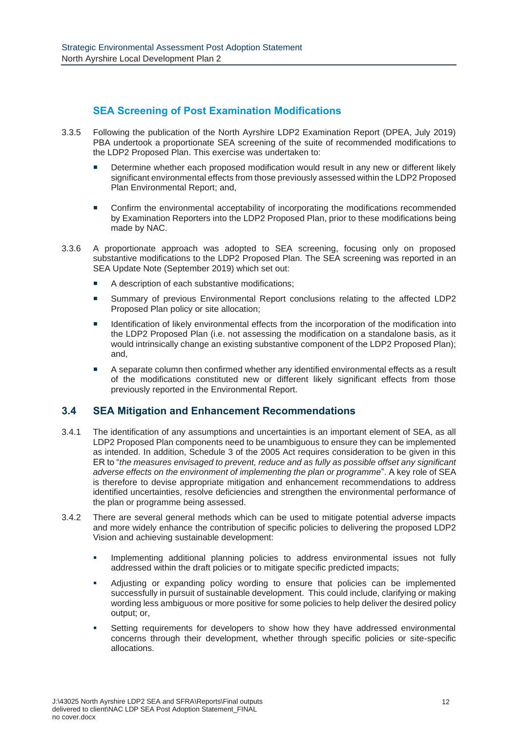## **SEA Screening of Post Examination Modifications**

- 3.3.5 Following the publication of the North Ayrshire LDP2 Examination Report (DPEA, July 2019) PBA undertook a proportionate SEA screening of the suite of recommended modifications to the LDP2 Proposed Plan. This exercise was undertaken to:
	- **Determine whether each proposed modification would result in any new or different likely** significant environmental effects from those previously assessed within the LDP2 Proposed Plan Environmental Report; and,
	- **EXECONFIRM** Confirm the environmental acceptability of incorporating the modifications recommended by Examination Reporters into the LDP2 Proposed Plan, prior to these modifications being made by NAC.
- 3.3.6 A proportionate approach was adopted to SEA screening, focusing only on proposed substantive modifications to the LDP2 Proposed Plan. The SEA screening was reported in an SEA Update Note (September 2019) which set out:
	- A description of each substantive modifications;
	- Summary of previous Environmental Report conclusions relating to the affected LDP2 Proposed Plan policy or site allocation;
	- **IDENTIFICATION IN EXECUTE:** Identification of likely environmental effects from the incorporation of the modification into the LDP2 Proposed Plan (i.e. not assessing the modification on a standalone basis, as it would intrinsically change an existing substantive component of the LDP2 Proposed Plan); and,
	- A separate column then confirmed whether any identified environmental effects as a result of the modifications constituted new or different likely significant effects from those previously reported in the Environmental Report.

#### <span id="page-15-0"></span>**3.4 SEA Mitigation and Enhancement Recommendations**

- 3.4.1 The identification of any assumptions and uncertainties is an important element of SEA, as all LDP2 Proposed Plan components need to be unambiguous to ensure they can be implemented as intended. In addition, Schedule 3 of the 2005 Act requires consideration to be given in this ER to "*the measures envisaged to prevent, reduce and as fully as possible offset any significant adverse effects on the environment of implementing the plan or programme*". A key role of SEA is therefore to devise appropriate mitigation and enhancement recommendations to address identified uncertainties, resolve deficiencies and strengthen the environmental performance of the plan or programme being assessed.
- 3.4.2 There are several general methods which can be used to mitigate potential adverse impacts and more widely enhance the contribution of specific policies to delivering the proposed LDP2 Vision and achieving sustainable development:
	- **·** Implementing additional planning policies to address environmental issues not fully addressed within the draft policies or to mitigate specific predicted impacts;
	- Adjusting or expanding policy wording to ensure that policies can be implemented successfully in pursuit of sustainable development. This could include, clarifying or making wording less ambiguous or more positive for some policies to help deliver the desired policy output; or,
	- **•** Setting requirements for developers to show how they have addressed environmental concerns through their development, whether through specific policies or site-specific allocations.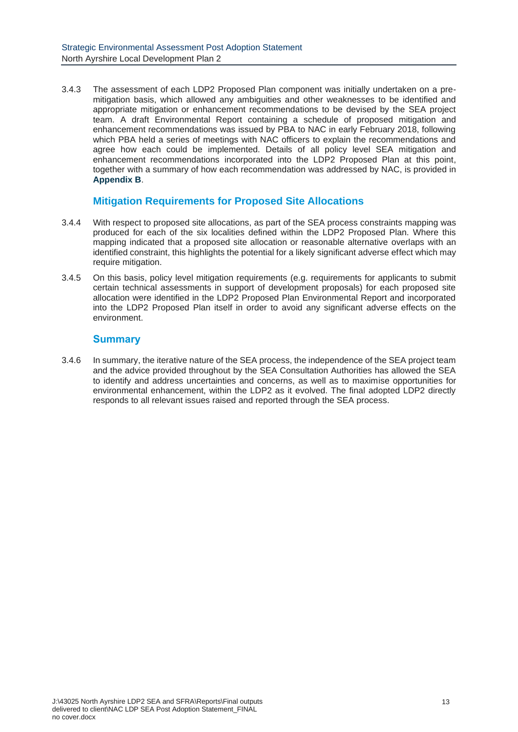3.4.3 The assessment of each LDP2 Proposed Plan component was initially undertaken on a premitigation basis, which allowed any ambiguities and other weaknesses to be identified and appropriate mitigation or enhancement recommendations to be devised by the SEA project team. A draft Environmental Report containing a schedule of proposed mitigation and enhancement recommendations was issued by PBA to NAC in early February 2018, following which PBA held a series of meetings with NAC officers to explain the recommendations and agree how each could be implemented. Details of all policy level SEA mitigation and enhancement recommendations incorporated into the LDP2 Proposed Plan at this point, together with a summary of how each recommendation was addressed by NAC, is provided in **Appendix B**.

#### **Mitigation Requirements for Proposed Site Allocations**

- 3.4.4 With respect to proposed site allocations, as part of the SEA process constraints mapping was produced for each of the six localities defined within the LDP2 Proposed Plan. Where this mapping indicated that a proposed site allocation or reasonable alternative overlaps with an identified constraint, this highlights the potential for a likely significant adverse effect which may require mitigation.
- 3.4.5 On this basis, policy level mitigation requirements (e.g. requirements for applicants to submit certain technical assessments in support of development proposals) for each proposed site allocation were identified in the LDP2 Proposed Plan Environmental Report and incorporated into the LDP2 Proposed Plan itself in order to avoid any significant adverse effects on the environment.

#### **Summary**

3.4.6 In summary, the iterative nature of the SEA process, the independence of the SEA project team and the advice provided throughout by the SEA Consultation Authorities has allowed the SEA to identify and address uncertainties and concerns, as well as to maximise opportunities for environmental enhancement, within the LDP2 as it evolved. The final adopted LDP2 directly responds to all relevant issues raised and reported through the SEA process.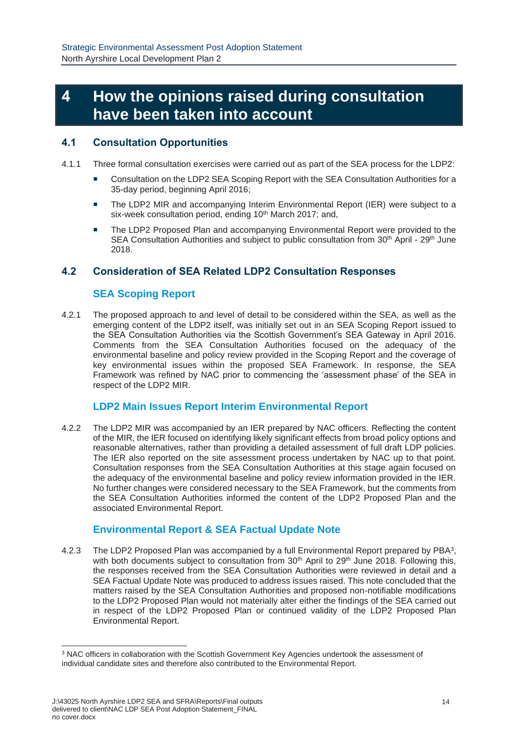# <span id="page-17-0"></span>**4 How the opinions raised during consultation have been taken into account**

### <span id="page-17-1"></span>**4.1 Consultation Opportunities**

- 4.1.1 Three formal consultation exercises were carried out as part of the SEA process for the LDP2:
	- **EXECONSULTER IDE A CONSULTER IS A CONSULTA** Consultation Authorities for a 35-day period, beginning April 2016;
	- The LDP2 MIR and accompanying Interim Environmental Report (IER) were subject to a six-week consultation period, ending 10<sup>th</sup> March 2017; and,
	- The LDP2 Proposed Plan and accompanying Environmental Report were provided to the SEA Consultation Authorities and subject to public consultation from  $30<sup>th</sup>$  April - 29<sup>th</sup> June 2018.

### <span id="page-17-2"></span>**4.2 Consideration of SEA Related LDP2 Consultation Responses**

## **SEA Scoping Report**

4.2.1 The proposed approach to and level of detail to be considered within the SEA, as well as the emerging content of the LDP2 itself, was initially set out in an SEA Scoping Report issued to the SEA Consultation Authorities via the Scottish Government's SEA Gateway in April 2016. Comments from the SEA Consultation Authorities focused on the adequacy of the environmental baseline and policy review provided in the Scoping Report and the coverage of key environmental issues within the proposed SEA Framework. In response, the SEA Framework was refined by NAC prior to commencing the 'assessment phase' of the SEA in respect of the LDP2 MIR.

#### **LDP2 Main Issues Report Interim Environmental Report**

4.2.2 The LDP2 MIR was accompanied by an IER prepared by NAC officers. Reflecting the content of the MIR, the IER focused on identifying likely significant effects from broad policy options and reasonable alternatives, rather than providing a detailed assessment of full draft LDP policies. The IER also reported on the site assessment process undertaken by NAC up to that point. Consultation responses from the SEA Consultation Authorities at this stage again focused on the adequacy of the environmental baseline and policy review information provided in the IER. No further changes were considered necessary to the SEA Framework, but the comments from the SEA Consultation Authorities informed the content of the LDP2 Proposed Plan and the associated Environmental Report.

#### **Environmental Report & SEA Factual Update Note**

4.2.3 The LDP2 Proposed Plan was accompanied by a full Environmental Report prepared by PBA<sup>3</sup>, with both documents subject to consultation from  $30<sup>th</sup>$  April to  $29<sup>th</sup>$  June 2018. Following this, the responses received from the SEA Consultation Authorities were reviewed in detail and a SEA Factual Update Note was produced to address issues raised. This note concluded that the matters raised by the SEA Consultation Authorities and proposed non-notifiable modifications to the LDP2 Proposed Plan would not materially alter either the findings of the SEA carried out in respect of the LDP2 Proposed Plan or continued validity of the LDP2 Proposed Plan Environmental Report.

<sup>&</sup>lt;sup>3</sup> NAC officers in collaboration with the Scottish Government Key Agencies undertook the assessment of individual candidate sites and therefore also contributed to the Environmental Report.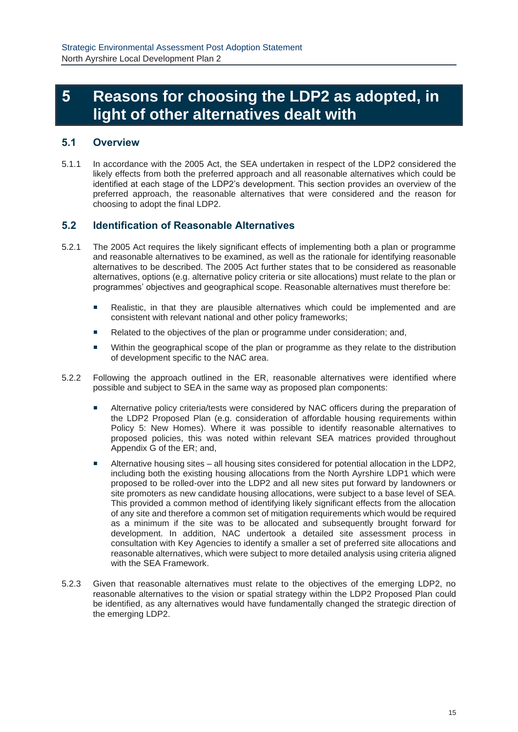## <span id="page-18-0"></span>**5 Reasons for choosing the LDP2 as adopted, in light of other alternatives dealt with**

#### <span id="page-18-1"></span>**5.1 Overview**

5.1.1 In accordance with the 2005 Act, the SEA undertaken in respect of the LDP2 considered the likely effects from both the preferred approach and all reasonable alternatives which could be identified at each stage of the LDP2's development. This section provides an overview of the preferred approach, the reasonable alternatives that were considered and the reason for choosing to adopt the final LDP2.

#### <span id="page-18-2"></span>**5.2 Identification of Reasonable Alternatives**

- 5.2.1 The 2005 Act requires the likely significant effects of implementing both a plan or programme and reasonable alternatives to be examined, as well as the rationale for identifying reasonable alternatives to be described. The 2005 Act further states that to be considered as reasonable alternatives, options (e.g. alternative policy criteria or site allocations) must relate to the plan or programmes' objectives and geographical scope. Reasonable alternatives must therefore be:
	- Realistic, in that they are plausible alternatives which could be implemented and are consistent with relevant national and other policy frameworks;
	- Related to the objectives of the plan or programme under consideration; and,
	- Within the geographical scope of the plan or programme as they relate to the distribution of development specific to the NAC area.
- 5.2.2 Following the approach outlined in the ER, reasonable alternatives were identified where possible and subject to SEA in the same way as proposed plan components:
	- Alternative policy criteria/tests were considered by NAC officers during the preparation of the LDP2 Proposed Plan (e.g. consideration of affordable housing requirements within Policy 5: New Homes). Where it was possible to identify reasonable alternatives to proposed policies, this was noted within relevant SEA matrices provided throughout Appendix G of the ER; and,
	- Alternative housing sites all housing sites considered for potential allocation in the LDP2, including both the existing housing allocations from the North Ayrshire LDP1 which were proposed to be rolled-over into the LDP2 and all new sites put forward by landowners or site promoters as new candidate housing allocations, were subject to a base level of SEA. This provided a common method of identifying likely significant effects from the allocation of any site and therefore a common set of mitigation requirements which would be required as a minimum if the site was to be allocated and subsequently brought forward for development. In addition, NAC undertook a detailed site assessment process in consultation with Key Agencies to identify a smaller a set of preferred site allocations and reasonable alternatives, which were subject to more detailed analysis using criteria aligned with the SEA Framework.
- 5.2.3 Given that reasonable alternatives must relate to the objectives of the emerging LDP2, no reasonable alternatives to the vision or spatial strategy within the LDP2 Proposed Plan could be identified, as any alternatives would have fundamentally changed the strategic direction of the emerging LDP2.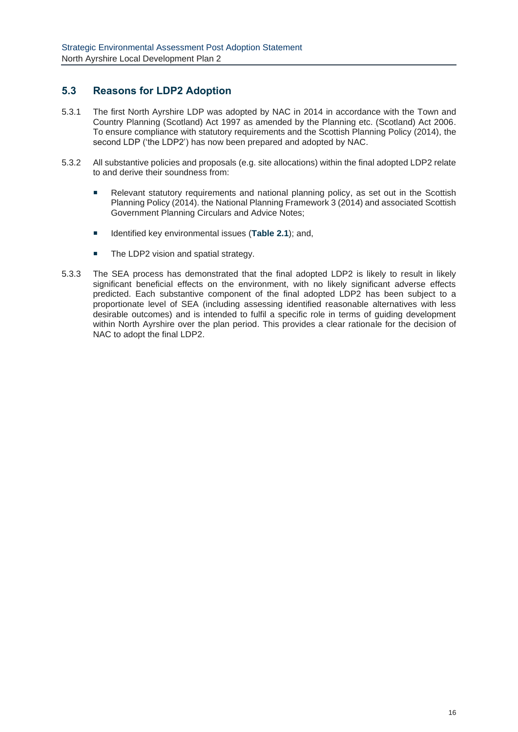#### <span id="page-19-0"></span>**5.3 Reasons for LDP2 Adoption**

- 5.3.1 The first North Ayrshire LDP was adopted by NAC in 2014 in accordance with the Town and Country Planning (Scotland) Act 1997 as amended by the Planning etc. (Scotland) Act 2006. To ensure compliance with statutory requirements and the Scottish Planning Policy (2014), the second LDP ('the LDP2') has now been prepared and adopted by NAC.
- 5.3.2 All substantive policies and proposals (e.g. site allocations) within the final adopted LDP2 relate to and derive their soundness from:
	- Relevant statutory requirements and national planning policy, as set out in the Scottish Planning Policy (2014). the National Planning Framework 3 (2014) and associated Scottish Government Planning Circulars and Advice Notes;
	- Identified key environmental issues (Table 2.1); and,
	- The LDP2 vision and spatial strategy.
- 5.3.3 The SEA process has demonstrated that the final adopted LDP2 is likely to result in likely significant beneficial effects on the environment, with no likely significant adverse effects predicted. Each substantive component of the final adopted LDP2 has been subject to a proportionate level of SEA (including assessing identified reasonable alternatives with less desirable outcomes) and is intended to fulfil a specific role in terms of guiding development within North Ayrshire over the plan period. This provides a clear rationale for the decision of NAC to adopt the final LDP2.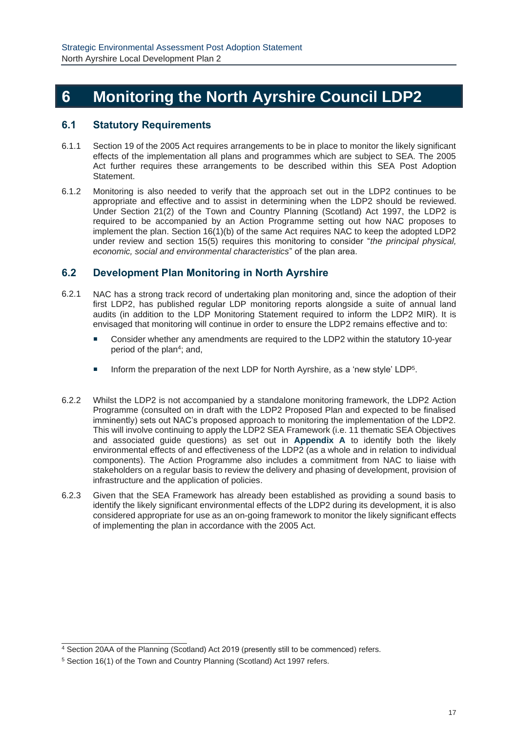# <span id="page-20-0"></span>**6 Monitoring the North Ayrshire Council LDP2**

#### <span id="page-20-1"></span>**6.1 Statutory Requirements**

- 6.1.1 Section 19 of the 2005 Act requires arrangements to be in place to monitor the likely significant effects of the implementation all plans and programmes which are subject to SEA. The 2005 Act further requires these arrangements to be described within this SEA Post Adoption Statement.
- 6.1.2 Monitoring is also needed to verify that the approach set out in the LDP2 continues to be appropriate and effective and to assist in determining when the LDP2 should be reviewed. Under Section 21(2) of the Town and Country Planning (Scotland) Act 1997, the LDP2 is required to be accompanied by an Action Programme setting out how NAC proposes to implement the plan. Section 16(1)(b) of the same Act requires NAC to keep the adopted LDP2 under review and section 15(5) requires this monitoring to consider "*the principal physical, economic, social and environmental characteristics*" of the plan area.

#### <span id="page-20-2"></span>**6.2 Development Plan Monitoring in North Ayrshire**

- 6.2.1 NAC has a strong track record of undertaking plan monitoring and, since the adoption of their first LDP2, has published regular LDP monitoring reports alongside a suite of annual land audits (in addition to the LDP Monitoring Statement required to inform the LDP2 MIR). It is envisaged that monitoring will continue in order to ensure the LDP2 remains effective and to:
	- n Consider whether any amendments are required to the LDP2 within the statutory 10-year period of the plan<sup>4</sup>; and,
	- $\blacksquare$ Inform the preparation of the next LDP for North Ayrshire, as a 'new style' LDP<sup>5</sup> .
- 6.2.2 Whilst the LDP2 is not accompanied by a standalone monitoring framework, the LDP2 Action Programme (consulted on in draft with the LDP2 Proposed Plan and expected to be finalised imminently) sets out NAC's proposed approach to monitoring the implementation of the LDP2. This will involve continuing to apply the LDP2 SEA Framework (i.e. 11 thematic SEA Objectives and associated guide questions) as set out in **Appendix A** to identify both the likely environmental effects of and effectiveness of the LDP2 (as a whole and in relation to individual components). The Action Programme also includes a commitment from NAC to liaise with stakeholders on a regular basis to review the delivery and phasing of development, provision of infrastructure and the application of policies.
- 6.2.3 Given that the SEA Framework has already been established as providing a sound basis to identify the likely significant environmental effects of the LDP2 during its development, it is also considered appropriate for use as an on-going framework to monitor the likely significant effects of implementing the plan in accordance with the 2005 Act.

<sup>4</sup> Section 20AA of the Planning (Scotland) Act 2019 (presently still to be commenced) refers.

<sup>5</sup> Section 16(1) of the Town and Country Planning (Scotland) Act 1997 refers.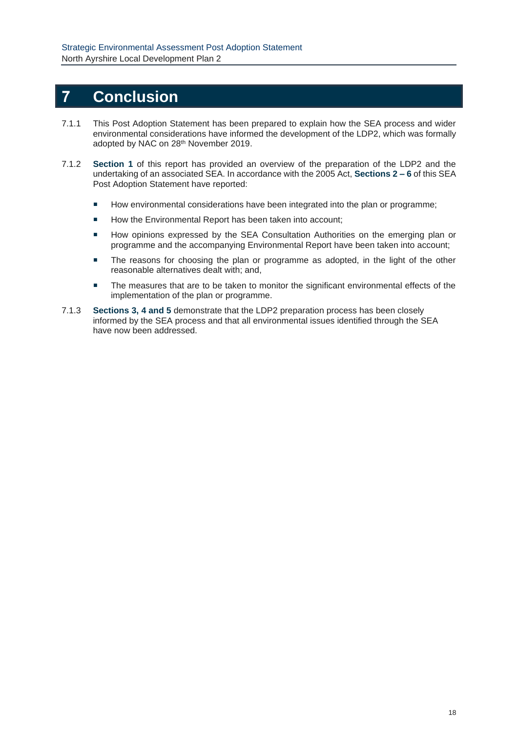## <span id="page-21-0"></span>**7 Conclusion**

- 7.1.1 This Post Adoption Statement has been prepared to explain how the SEA process and wider environmental considerations have informed the development of the LDP2, which was formally adopted by NAC on 28<sup>th</sup> November 2019.
- 7.1.2 **Section 1** of this report has provided an overview of the preparation of the LDP2 and the undertaking of an associated SEA. In accordance with the 2005 Act, **Sections 2 – 6** of this SEA Post Adoption Statement have reported:
	- How environmental considerations have been integrated into the plan or programme;
	- How the Environmental Report has been taken into account;
	- **How opinions expressed by the SEA Consultation Authorities on the emerging plan or** programme and the accompanying Environmental Report have been taken into account;
	- **The reasons for choosing the plan or programme as adopted, in the light of the other** reasonable alternatives dealt with; and,
	- **The measures that are to be taken to monitor the significant environmental effects of the** implementation of the plan or programme.
- 7.1.3 **Sections 3, 4 and 5** demonstrate that the LDP2 preparation process has been closely informed by the SEA process and that all environmental issues identified through the SEA have now been addressed.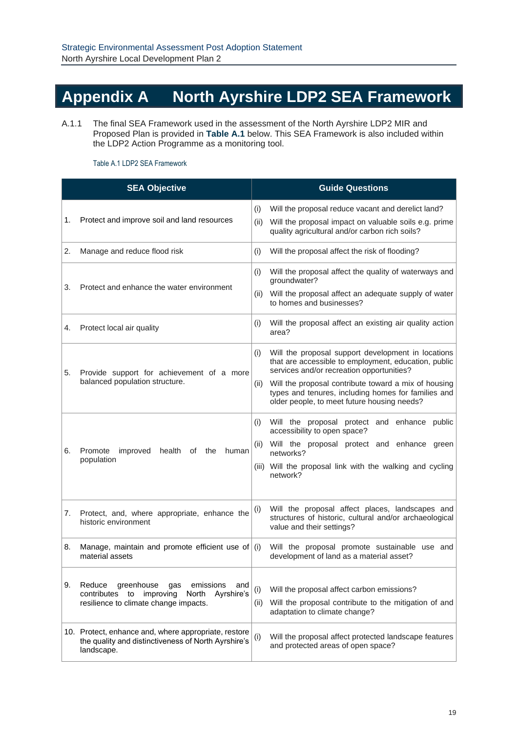# **Appendix A North Ayrshire LDP2 SEA Framework**

A.1.1 The final SEA Framework used in the assessment of the North Ayrshire LDP2 MIR and Proposed Plan is provided in **Table A.1** below. This SEA Framework is also included within the LDP2 Action Programme as a monitoring tool.

Table A.1 LDP2 SEA Framework

<span id="page-22-0"></span>

| <b>SEA Objective</b> |                                                                                                                                                   | <b>Guide Questions</b> |                                                                                                                                                                                                                                                                                                                       |
|----------------------|---------------------------------------------------------------------------------------------------------------------------------------------------|------------------------|-----------------------------------------------------------------------------------------------------------------------------------------------------------------------------------------------------------------------------------------------------------------------------------------------------------------------|
| 1.                   | Protect and improve soil and land resources                                                                                                       | (i)<br>(ii)            | Will the proposal reduce vacant and derelict land?<br>Will the proposal impact on valuable soils e.g. prime<br>quality agricultural and/or carbon rich soils?                                                                                                                                                         |
| 2.                   | Manage and reduce flood risk                                                                                                                      | (i)                    | Will the proposal affect the risk of flooding?                                                                                                                                                                                                                                                                        |
| 3.                   | Protect and enhance the water environment                                                                                                         | (i)<br>(ii)            | Will the proposal affect the quality of waterways and<br>groundwater?<br>Will the proposal affect an adequate supply of water<br>to homes and businesses?                                                                                                                                                             |
| 4.                   | Protect local air quality                                                                                                                         | (i)                    | Will the proposal affect an existing air quality action<br>area?                                                                                                                                                                                                                                                      |
| 5.                   | Provide support for achievement of a more<br>balanced population structure.                                                                       | (i)<br>(ii)            | Will the proposal support development in locations<br>that are accessible to employment, education, public<br>services and/or recreation opportunities?<br>Will the proposal contribute toward a mix of housing<br>types and tenures, including homes for families and<br>older people, to meet future housing needs? |
| 6.                   | Promote<br>improved<br>health<br>the<br>of<br>human<br>population                                                                                 | (i)<br>(ii)            | Will the proposal protect and enhance public<br>accessibility to open space?<br>Will the proposal protect and enhance green<br>networks?<br>(iii) Will the proposal link with the walking and cycling<br>network?                                                                                                     |
| 7.                   | Protect, and, where appropriate, enhance the<br>historic environment                                                                              | (i)                    | Will the proposal affect places, landscapes and<br>structures of historic, cultural and/or archaeological<br>value and their settings?                                                                                                                                                                                |
| 8.                   | Manage, maintain and promote efficient use of $(i)$<br>material assets                                                                            |                        | Will the proposal promote sustainable use and<br>development of land as a material asset?                                                                                                                                                                                                                             |
| 9.                   | Reduce<br>greenhouse<br>emissions<br>gas<br>and<br>contributes<br>improving<br>North<br>Ayrshire's<br>to<br>resilience to climate change impacts. | (i)<br>(ii)            | Will the proposal affect carbon emissions?<br>Will the proposal contribute to the mitigation of and<br>adaptation to climate change?                                                                                                                                                                                  |
|                      | 10. Protect, enhance and, where appropriate, restore<br>the quality and distinctiveness of North Ayrshire's<br>landscape.                         | (i)                    | Will the proposal affect protected landscape features<br>and protected areas of open space?                                                                                                                                                                                                                           |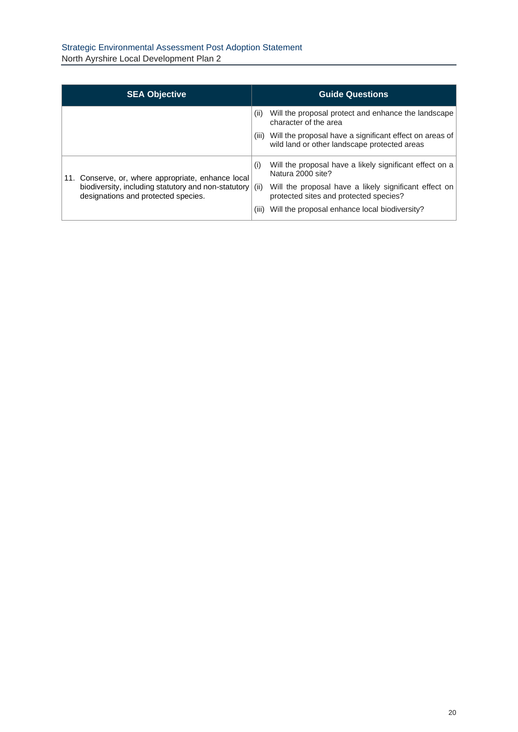| <b>SEA Objective</b>                                                                                    | <b>Guide Questions</b>                                                                                           |
|---------------------------------------------------------------------------------------------------------|------------------------------------------------------------------------------------------------------------------|
|                                                                                                         | Will the proposal protect and enhance the landscape<br>(ii)<br>character of the area                             |
|                                                                                                         | Will the proposal have a significant effect on areas of<br>(iii)<br>wild land or other landscape protected areas |
| 11. Conserve, or, where appropriate, enhance local                                                      | Will the proposal have a likely significant effect on a<br>$\left( 1\right)$<br>Natura 2000 site?                |
| biodiversity, including statutory and non-statutory $\vert$ (ii)<br>designations and protected species. | Will the proposal have a likely significant effect on<br>protected sites and protected species?                  |
|                                                                                                         | Will the proposal enhance local biodiversity?<br>(iii)                                                           |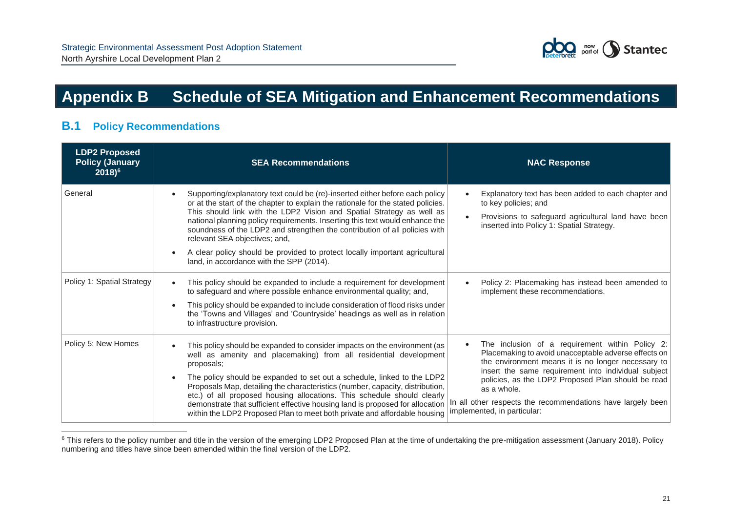

# **Appendix B Schedule of SEA Mitigation and Enhancement Recommendations**

## **B.1 Policy Recommendations**

| <b>LDP2 Proposed</b><br><b>Policy (January</b><br>$2018)^6$ | <b>SEA Recommendations</b>                                                                                                                                                                                                                                                                                                                                                                                                                                                                                                                                          | <b>NAC Response</b>                                                                                                                                                                                                                                                                                                                                                                     |
|-------------------------------------------------------------|---------------------------------------------------------------------------------------------------------------------------------------------------------------------------------------------------------------------------------------------------------------------------------------------------------------------------------------------------------------------------------------------------------------------------------------------------------------------------------------------------------------------------------------------------------------------|-----------------------------------------------------------------------------------------------------------------------------------------------------------------------------------------------------------------------------------------------------------------------------------------------------------------------------------------------------------------------------------------|
| General                                                     | Supporting/explanatory text could be (re)-inserted either before each policy<br>or at the start of the chapter to explain the rationale for the stated policies.<br>This should link with the LDP2 Vision and Spatial Strategy as well as<br>national planning policy requirements. Inserting this text would enhance the<br>soundness of the LDP2 and strengthen the contribution of all policies with<br>relevant SEA objectives; and,<br>A clear policy should be provided to protect locally important agricultural<br>land, in accordance with the SPP (2014). | Explanatory text has been added to each chapter and<br>to key policies; and<br>Provisions to safeguard agricultural land have been<br>inserted into Policy 1: Spatial Strategy.                                                                                                                                                                                                         |
| Policy 1: Spatial Strategy                                  | This policy should be expanded to include a requirement for development<br>to safeguard and where possible enhance environmental quality; and,<br>This policy should be expanded to include consideration of flood risks under<br>the 'Towns and Villages' and 'Countryside' headings as well as in relation<br>to infrastructure provision.                                                                                                                                                                                                                        | Policy 2: Placemaking has instead been amended to<br>implement these recommendations.                                                                                                                                                                                                                                                                                                   |
| Policy 5: New Homes                                         | This policy should be expanded to consider impacts on the environment (as<br>well as amenity and placemaking) from all residential development<br>proposals;<br>The policy should be expanded to set out a schedule, linked to the LDP2<br>Proposals Map, detailing the characteristics (number, capacity, distribution,<br>etc.) of all proposed housing allocations. This schedule should clearly<br>demonstrate that sufficient effective housing land is proposed for allocation<br>within the LDP2 Proposed Plan to meet both private and affordable housing   | The inclusion of a requirement within Policy 2:<br>Placemaking to avoid unacceptable adverse effects on<br>the environment means it is no longer necessary to<br>insert the same requirement into individual subject<br>policies, as the LDP2 Proposed Plan should be read<br>as a whole.<br>In all other respects the recommendations have largely been<br>implemented, in particular: |

<sup>&</sup>lt;sup>6</sup> This refers to the policy number and title in the version of the emerging LDP2 Proposed Plan at the time of undertaking the pre-mitigation assessment (January 2018). Policy numbering and titles have since been amended within the final version of the LDP2.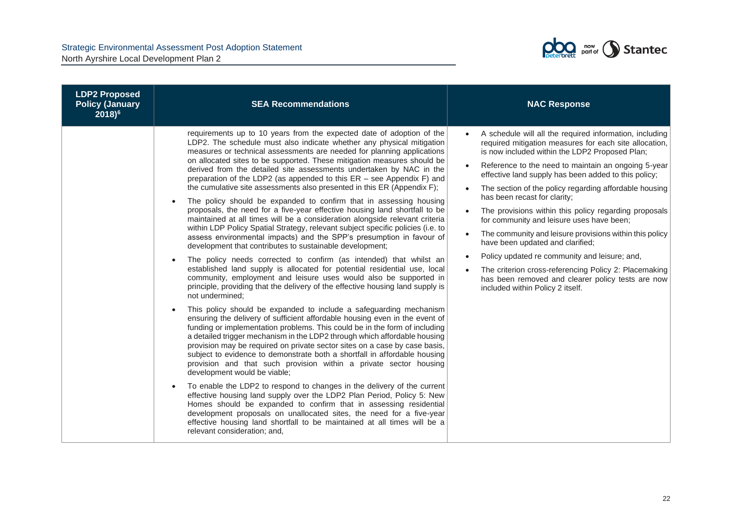

| <b>LDP2 Proposed</b><br><b>Policy (January</b><br>$2018)^6$ | <b>SEA Recommendations</b>                                                                                                                                                                                                                                                                                                                                                                                                                                                                                                                                                                                                                                                                                                                                                                                                                                                                                                                                                                                                                                                                                                                                                                                                                                                                                                                                                                                                                                                                                                                                                                                                                                                                                                                                                                                                                                                                                                                                                                                                                                                                                                                                                                                                                                                                                          | <b>NAC Response</b>                                                                                                                                                                                                                                                                                                                                                                                                                                                                                                                                                                                                                                                                                                                                                                  |
|-------------------------------------------------------------|---------------------------------------------------------------------------------------------------------------------------------------------------------------------------------------------------------------------------------------------------------------------------------------------------------------------------------------------------------------------------------------------------------------------------------------------------------------------------------------------------------------------------------------------------------------------------------------------------------------------------------------------------------------------------------------------------------------------------------------------------------------------------------------------------------------------------------------------------------------------------------------------------------------------------------------------------------------------------------------------------------------------------------------------------------------------------------------------------------------------------------------------------------------------------------------------------------------------------------------------------------------------------------------------------------------------------------------------------------------------------------------------------------------------------------------------------------------------------------------------------------------------------------------------------------------------------------------------------------------------------------------------------------------------------------------------------------------------------------------------------------------------------------------------------------------------------------------------------------------------------------------------------------------------------------------------------------------------------------------------------------------------------------------------------------------------------------------------------------------------------------------------------------------------------------------------------------------------------------------------------------------------------------------------------------------------|--------------------------------------------------------------------------------------------------------------------------------------------------------------------------------------------------------------------------------------------------------------------------------------------------------------------------------------------------------------------------------------------------------------------------------------------------------------------------------------------------------------------------------------------------------------------------------------------------------------------------------------------------------------------------------------------------------------------------------------------------------------------------------------|
|                                                             | requirements up to 10 years from the expected date of adoption of the<br>LDP2. The schedule must also indicate whether any physical mitigation<br>measures or technical assessments are needed for planning applications<br>on allocated sites to be supported. These mitigation measures should be<br>derived from the detailed site assessments undertaken by NAC in the<br>preparation of the LDP2 (as appended to this ER - see Appendix F) and<br>the cumulative site assessments also presented in this ER (Appendix F);<br>The policy should be expanded to confirm that in assessing housing<br>proposals, the need for a five-year effective housing land shortfall to be<br>maintained at all times will be a consideration alongside relevant criteria<br>within LDP Policy Spatial Strategy, relevant subject specific policies (i.e. to<br>assess environmental impacts) and the SPP's presumption in favour of<br>development that contributes to sustainable development;<br>The policy needs corrected to confirm (as intended) that whilst an<br>established land supply is allocated for potential residential use, local<br>community, employment and leisure uses would also be supported in<br>principle, providing that the delivery of the effective housing land supply is<br>not undermined;<br>This policy should be expanded to include a safeguarding mechanism<br>ensuring the delivery of sufficient affordable housing even in the event of<br>funding or implementation problems. This could be in the form of including<br>a detailed trigger mechanism in the LDP2 through which affordable housing<br>provision may be required on private sector sites on a case by case basis,<br>subject to evidence to demonstrate both a shortfall in affordable housing<br>provision and that such provision within a private sector housing<br>development would be viable;<br>To enable the LDP2 to respond to changes in the delivery of the current<br>effective housing land supply over the LDP2 Plan Period, Policy 5: New<br>Homes should be expanded to confirm that in assessing residential<br>development proposals on unallocated sites, the need for a five-year<br>effective housing land shortfall to be maintained at all times will be a<br>relevant consideration; and, | A schedule will all the required information, including<br>required mitigation measures for each site allocation,<br>is now included within the LDP2 Proposed Plan;<br>Reference to the need to maintain an ongoing 5-year<br>effective land supply has been added to this policy;<br>The section of the policy regarding affordable housing<br>has been recast for clarity;<br>The provisions within this policy regarding proposals<br>for community and leisure uses have been;<br>The community and leisure provisions within this policy<br>have been updated and clarified;<br>Policy updated re community and leisure; and,<br>The criterion cross-referencing Policy 2: Placemaking<br>has been removed and clearer policy tests are now<br>included within Policy 2 itself. |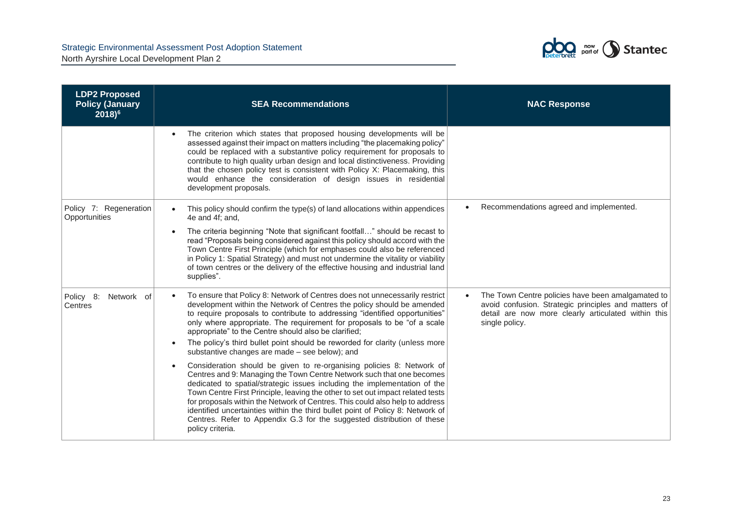

| <b>LDP2 Proposed</b><br><b>Policy (January</b><br>$2018)^6$ | <b>SEA Recommendations</b>                                                                                                                                                                                                                                                                                                                                                                                                                                                                                                                                                                                                                                                                                                                                                                                                                                                                                                                                                                                                                                                                | <b>NAC Response</b>                                                                                                                                                                             |
|-------------------------------------------------------------|-------------------------------------------------------------------------------------------------------------------------------------------------------------------------------------------------------------------------------------------------------------------------------------------------------------------------------------------------------------------------------------------------------------------------------------------------------------------------------------------------------------------------------------------------------------------------------------------------------------------------------------------------------------------------------------------------------------------------------------------------------------------------------------------------------------------------------------------------------------------------------------------------------------------------------------------------------------------------------------------------------------------------------------------------------------------------------------------|-------------------------------------------------------------------------------------------------------------------------------------------------------------------------------------------------|
|                                                             | The criterion which states that proposed housing developments will be<br>assessed against their impact on matters including "the placemaking policy"<br>could be replaced with a substantive policy requirement for proposals to<br>contribute to high quality urban design and local distinctiveness. Providing<br>that the chosen policy test is consistent with Policy X: Placemaking, this<br>would enhance the consideration of design issues in residential<br>development proposals.                                                                                                                                                                                                                                                                                                                                                                                                                                                                                                                                                                                               |                                                                                                                                                                                                 |
| Policy 7: Regeneration<br>Opportunities                     | This policy should confirm the type(s) of land allocations within appendices<br>4e and 4f; and,<br>The criteria beginning "Note that significant footfall" should be recast to<br>read "Proposals being considered against this policy should accord with the<br>Town Centre First Principle (which for emphases could also be referenced<br>in Policy 1: Spatial Strategy) and must not undermine the vitality or viability<br>of town centres or the delivery of the effective housing and industrial land<br>supplies".                                                                                                                                                                                                                                                                                                                                                                                                                                                                                                                                                                | Recommendations agreed and implemented.                                                                                                                                                         |
| Policy 8:<br>Network of<br>Centres                          | To ensure that Policy 8: Network of Centres does not unnecessarily restrict<br>development within the Network of Centres the policy should be amended<br>to require proposals to contribute to addressing "identified opportunities"<br>only where appropriate. The requirement for proposals to be "of a scale<br>appropriate" to the Centre should also be clarified;<br>The policy's third bullet point should be reworded for clarity (unless more<br>substantive changes are made - see below); and<br>Consideration should be given to re-organising policies 8: Network of<br>Centres and 9: Managing the Town Centre Network such that one becomes<br>dedicated to spatial/strategic issues including the implementation of the<br>Town Centre First Principle, leaving the other to set out impact related tests<br>for proposals within the Network of Centres. This could also help to address<br>identified uncertainties within the third bullet point of Policy 8: Network of<br>Centres. Refer to Appendix G.3 for the suggested distribution of these<br>policy criteria. | The Town Centre policies have been amalgamated to<br>$\bullet$<br>avoid confusion. Strategic principles and matters of<br>detail are now more clearly articulated within this<br>single policy. |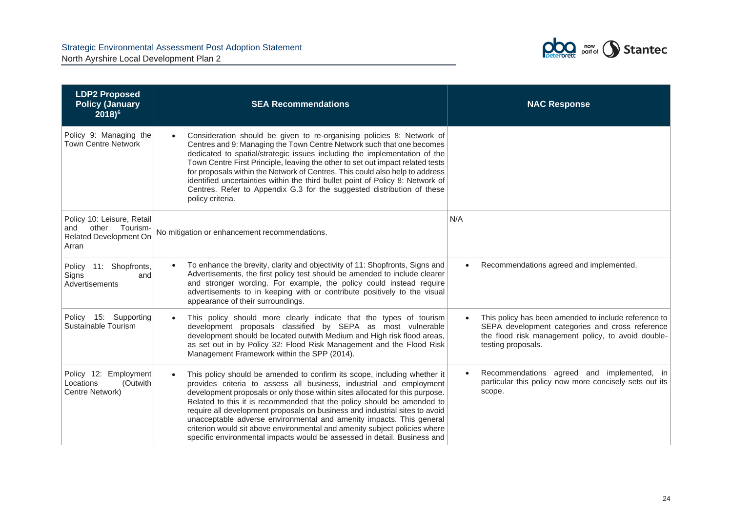

| <b>LDP2 Proposed</b><br><b>Policy (January</b><br>$2018)^6$                               | <b>SEA Recommendations</b>                                                                                                                                                                                                                                                                                                                                                                                                                                                                                                                                                                                                 | <b>NAC Response</b>                                                                                                                                                                 |
|-------------------------------------------------------------------------------------------|----------------------------------------------------------------------------------------------------------------------------------------------------------------------------------------------------------------------------------------------------------------------------------------------------------------------------------------------------------------------------------------------------------------------------------------------------------------------------------------------------------------------------------------------------------------------------------------------------------------------------|-------------------------------------------------------------------------------------------------------------------------------------------------------------------------------------|
| Policy 9: Managing the<br><b>Town Centre Network</b>                                      | Consideration should be given to re-organising policies 8: Network of<br>Centres and 9: Managing the Town Centre Network such that one becomes<br>dedicated to spatial/strategic issues including the implementation of the<br>Town Centre First Principle, leaving the other to set out impact related tests<br>for proposals within the Network of Centres. This could also help to address<br>identified uncertainties within the third bullet point of Policy 8: Network of<br>Centres. Refer to Appendix G.3 for the suggested distribution of these<br>policy criteria.                                              |                                                                                                                                                                                     |
| Policy 10: Leisure, Retail<br>other<br>Tourism-<br>and<br>Related Development On<br>Arran | No mitigation or enhancement recommendations.                                                                                                                                                                                                                                                                                                                                                                                                                                                                                                                                                                              | N/A                                                                                                                                                                                 |
| Policy 11: Shopfronts,<br>Signs<br>and<br>Advertisements                                  | To enhance the brevity, clarity and objectivity of 11: Shopfronts, Signs and<br>Advertisements, the first policy test should be amended to include clearer<br>and stronger wording. For example, the policy could instead require<br>advertisements to in keeping with or contribute positively to the visual<br>appearance of their surroundings.                                                                                                                                                                                                                                                                         | Recommendations agreed and implemented.                                                                                                                                             |
| Policy 15: Supporting<br>Sustainable Tourism                                              | This policy should more clearly indicate that the types of tourism<br>development proposals classified by SEPA as most vulnerable<br>development should be located outwith Medium and High risk flood areas,<br>as set out in by Policy 32: Flood Risk Management and the Flood Risk<br>Management Framework within the SPP (2014).                                                                                                                                                                                                                                                                                        | This policy has been amended to include reference to<br>SEPA development categories and cross reference<br>the flood risk management policy, to avoid double-<br>testing proposals. |
| Policy 12: Employment<br>Locations<br>(Outwith<br>Centre Network)                         | This policy should be amended to confirm its scope, including whether it<br>provides criteria to assess all business, industrial and employment<br>development proposals or only those within sites allocated for this purpose.<br>Related to this it is recommended that the policy should be amended to<br>require all development proposals on business and industrial sites to avoid<br>unacceptable adverse environmental and amenity impacts. This general<br>criterion would sit above environmental and amenity subject policies where<br>specific environmental impacts would be assessed in detail. Business and | Recommendations agreed and implemented, in<br>particular this policy now more concisely sets out its<br>scope.                                                                      |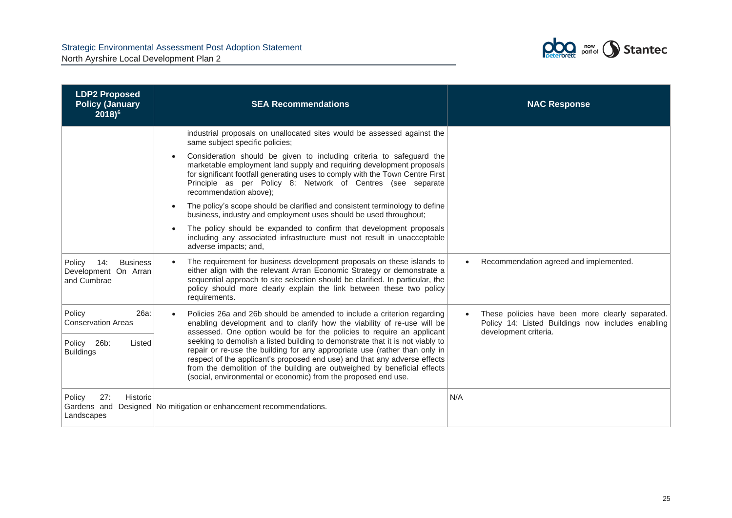

| <b>LDP2 Proposed</b><br><b>Policy (January</b><br>$2018$ <sup>6</sup>   | <b>SEA Recommendations</b>                                                                                                                                                                                                                                                                                                                                                             | <b>NAC Response</b>                                                                                                            |
|-------------------------------------------------------------------------|----------------------------------------------------------------------------------------------------------------------------------------------------------------------------------------------------------------------------------------------------------------------------------------------------------------------------------------------------------------------------------------|--------------------------------------------------------------------------------------------------------------------------------|
|                                                                         | industrial proposals on unallocated sites would be assessed against the<br>same subject specific policies;                                                                                                                                                                                                                                                                             |                                                                                                                                |
|                                                                         | Consideration should be given to including criteria to safeguard the<br>marketable employment land supply and requiring development proposals<br>for significant footfall generating uses to comply with the Town Centre First<br>Principle as per Policy 8: Network of Centres (see separate<br>recommendation above);                                                                |                                                                                                                                |
|                                                                         | The policy's scope should be clarified and consistent terminology to define<br>business, industry and employment uses should be used throughout;                                                                                                                                                                                                                                       |                                                                                                                                |
|                                                                         | The policy should be expanded to confirm that development proposals<br>including any associated infrastructure must not result in unacceptable<br>adverse impacts; and,                                                                                                                                                                                                                |                                                                                                                                |
| 14:<br><b>Business</b><br>Policy<br>Development On Arran<br>and Cumbrae | The requirement for business development proposals on these islands to<br>either align with the relevant Arran Economic Strategy or demonstrate a<br>sequential approach to site selection should be clarified. In particular, the<br>policy should more clearly explain the link between these two policy<br>requirements.                                                            | Recommendation agreed and implemented.                                                                                         |
| Policy<br>26a:<br><b>Conservation Areas</b>                             | Policies 26a and 26b should be amended to include a criterion regarding<br>enabling development and to clarify how the viability of re-use will be<br>assessed. One option would be for the policies to require an applicant                                                                                                                                                           | These policies have been more clearly separated.<br>Policy 14: Listed Buildings now includes enabling<br>development criteria. |
| Policy 26b:<br>Listed<br><b>Buildings</b>                               | seeking to demolish a listed building to demonstrate that it is not viably to<br>repair or re-use the building for any appropriate use (rather than only in<br>respect of the applicant's proposed end use) and that any adverse effects<br>from the demolition of the building are outweighed by beneficial effects<br>(social, environmental or economic) from the proposed end use. |                                                                                                                                |
| 27:<br>Policy<br>Historic<br>Gardens and<br>Landscapes                  | Designed   No mitigation or enhancement recommendations.                                                                                                                                                                                                                                                                                                                               | N/A                                                                                                                            |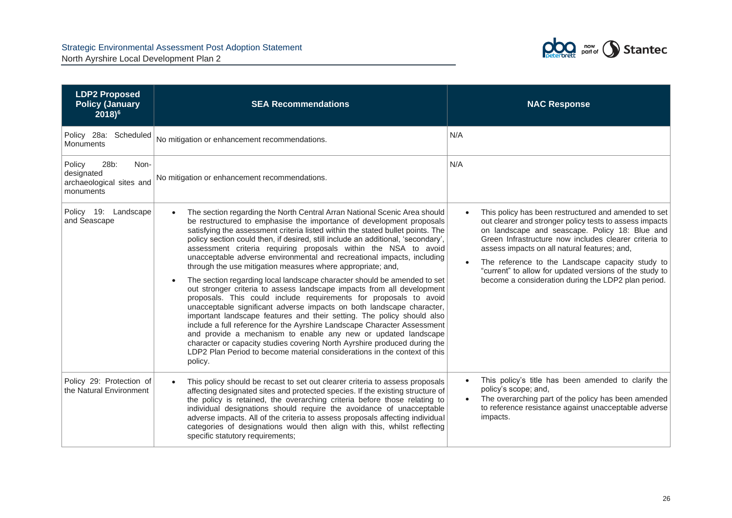

| <b>LDP2 Proposed</b><br><b>Policy (January</b><br>$2018$ <sup>6</sup>         | <b>SEA Recommendations</b>                                                                                                                                                                                                                                                                                                                                                                                                                                                                                                                                                                                                                                                                                                                                                                                                                                                                                                                                                                                                                                                                                                                                                                                                           | <b>NAC Response</b>                                                                                                                                                                                                                                                                                                                                                                                                                              |  |
|-------------------------------------------------------------------------------|--------------------------------------------------------------------------------------------------------------------------------------------------------------------------------------------------------------------------------------------------------------------------------------------------------------------------------------------------------------------------------------------------------------------------------------------------------------------------------------------------------------------------------------------------------------------------------------------------------------------------------------------------------------------------------------------------------------------------------------------------------------------------------------------------------------------------------------------------------------------------------------------------------------------------------------------------------------------------------------------------------------------------------------------------------------------------------------------------------------------------------------------------------------------------------------------------------------------------------------|--------------------------------------------------------------------------------------------------------------------------------------------------------------------------------------------------------------------------------------------------------------------------------------------------------------------------------------------------------------------------------------------------------------------------------------------------|--|
| Policy 28a: Scheduled<br><b>Monuments</b>                                     | No mitigation or enhancement recommendations.                                                                                                                                                                                                                                                                                                                                                                                                                                                                                                                                                                                                                                                                                                                                                                                                                                                                                                                                                                                                                                                                                                                                                                                        | N/A                                                                                                                                                                                                                                                                                                                                                                                                                                              |  |
| 28b:<br>Non-<br>Policy<br>designated<br>archaeological sites and<br>monuments | No mitigation or enhancement recommendations.                                                                                                                                                                                                                                                                                                                                                                                                                                                                                                                                                                                                                                                                                                                                                                                                                                                                                                                                                                                                                                                                                                                                                                                        | N/A                                                                                                                                                                                                                                                                                                                                                                                                                                              |  |
| Policy 19: Landscape<br>and Seascape                                          | The section regarding the North Central Arran National Scenic Area should<br>be restructured to emphasise the importance of development proposals<br>satisfying the assessment criteria listed within the stated bullet points. The<br>policy section could then, if desired, still include an additional, 'secondary',<br>assessment criteria requiring proposals within the NSA to avoid<br>unacceptable adverse environmental and recreational impacts, including<br>through the use mitigation measures where appropriate; and,<br>The section regarding local landscape character should be amended to set<br>out stronger criteria to assess landscape impacts from all development<br>proposals. This could include requirements for proposals to avoid<br>unacceptable significant adverse impacts on both landscape character,<br>important landscape features and their setting. The policy should also<br>include a full reference for the Ayrshire Landscape Character Assessment<br>and provide a mechanism to enable any new or updated landscape<br>character or capacity studies covering North Ayrshire produced during the<br>LDP2 Plan Period to become material considerations in the context of this<br>policy. | This policy has been restructured and amended to set<br>out clearer and stronger policy tests to assess impacts<br>on landscape and seascape. Policy 18: Blue and<br>Green Infrastructure now includes clearer criteria to<br>assess impacts on all natural features; and,<br>The reference to the Landscape capacity study to<br>"current" to allow for updated versions of the study to<br>become a consideration during the LDP2 plan period. |  |
| Policy 29: Protection of<br>the Natural Environment                           | This policy should be recast to set out clearer criteria to assess proposals<br>affecting designated sites and protected species. If the existing structure of<br>the policy is retained, the overarching criteria before those relating to<br>individual designations should require the avoidance of unacceptable<br>adverse impacts. All of the criteria to assess proposals affecting individual<br>categories of designations would then align with this, whilst reflecting<br>specific statutory requirements;                                                                                                                                                                                                                                                                                                                                                                                                                                                                                                                                                                                                                                                                                                                 | This policy's title has been amended to clarify the<br>policy's scope; and,<br>The overarching part of the policy has been amended<br>to reference resistance against unacceptable adverse<br>impacts.                                                                                                                                                                                                                                           |  |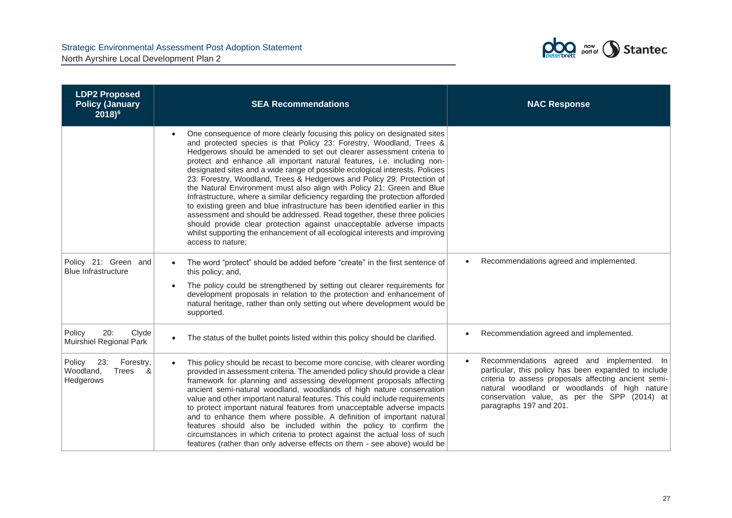

| <b>LDP2 Proposed</b><br><b>Policy (January</b><br>$2018$ <sup>6</sup>     | <b>SEA Recommendations</b>                                                                                                                                                                                                                                                                                                                                                                                                                                                                                                                                                                                                                                                                                                                                                                                                                                                                                                                                       | <b>NAC Response</b>                                                                                                                                                                                                                                                                                |
|---------------------------------------------------------------------------|------------------------------------------------------------------------------------------------------------------------------------------------------------------------------------------------------------------------------------------------------------------------------------------------------------------------------------------------------------------------------------------------------------------------------------------------------------------------------------------------------------------------------------------------------------------------------------------------------------------------------------------------------------------------------------------------------------------------------------------------------------------------------------------------------------------------------------------------------------------------------------------------------------------------------------------------------------------|----------------------------------------------------------------------------------------------------------------------------------------------------------------------------------------------------------------------------------------------------------------------------------------------------|
|                                                                           | One consequence of more clearly focusing this policy on designated sites<br>and protected species is that Policy 23: Forestry, Woodland, Trees &<br>Hedgerows should be amended to set out clearer assessment criteria to<br>protect and enhance all important natural features, i.e. including non-<br>designated sites and a wide range of possible ecological interests. Policies<br>23: Forestry, Woodland, Trees & Hedgerows and Policy 29: Protection of<br>the Natural Environment must also align with Policy 21: Green and Blue<br>Infrastructure, where a similar deficiency regarding the protection afforded<br>to existing green and blue infrastructure has been identified earlier in this<br>assessment and should be addressed. Read together, these three policies<br>should provide clear protection against unacceptable adverse impacts<br>whilst supporting the enhancement of all ecological interests and improving<br>access to nature; |                                                                                                                                                                                                                                                                                                    |
| Policy 21: Green and<br><b>Blue Infrastructure</b>                        | The word "protect" should be added before "create" in the first sentence of<br>this policy; and,<br>The policy could be strengthened by setting out clearer requirements for<br>development proposals in relation to the protection and enhancement of                                                                                                                                                                                                                                                                                                                                                                                                                                                                                                                                                                                                                                                                                                           | Recommendations agreed and implemented.                                                                                                                                                                                                                                                            |
|                                                                           | natural heritage, rather than only setting out where development would be<br>supported.                                                                                                                                                                                                                                                                                                                                                                                                                                                                                                                                                                                                                                                                                                                                                                                                                                                                          |                                                                                                                                                                                                                                                                                                    |
| 20:<br>Policy<br>Clyde<br>Muirshiel Regional Park                         | The status of the bullet points listed within this policy should be clarified.                                                                                                                                                                                                                                                                                                                                                                                                                                                                                                                                                                                                                                                                                                                                                                                                                                                                                   | Recommendation agreed and implemented.                                                                                                                                                                                                                                                             |
| Policy<br>23:<br>Forestry,<br>Woodland,<br><b>Trees</b><br>&<br>Hedgerows | This policy should be recast to become more concise, with clearer wording<br>provided in assessment criteria. The amended policy should provide a clear<br>framework for planning and assessing development proposals affecting<br>ancient semi-natural woodland, woodlands of high nature conservation<br>value and other important natural features. This could include requirements<br>to protect important natural features from unacceptable adverse impacts<br>and to enhance them where possible. A definition of important natural<br>features should also be included within the policy to confirm the<br>circumstances in which criteria to protect against the actual loss of such<br>features (rather than only adverse effects on them - see above) would be                                                                                                                                                                                        | Recommendations agreed and implemented. In<br>$\bullet$<br>particular, this policy has been expanded to include<br>criteria to assess proposals affecting ancient semi-<br>natural woodland or woodlands of high nature<br>conservation value, as per the SPP (2014) at<br>paragraphs 197 and 201. |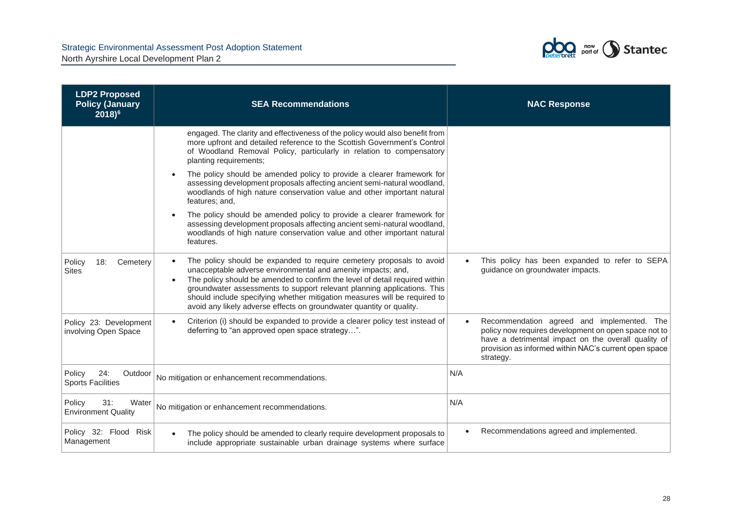

| <b>LDP2 Proposed</b><br><b>Policy (January</b><br>$2018)^6$ | <b>SEA Recommendations</b>                                                                                                                                                                                                                                                                                                                                                                                                                          | <b>NAC Response</b>                                                                                                                                                                                                             |
|-------------------------------------------------------------|-----------------------------------------------------------------------------------------------------------------------------------------------------------------------------------------------------------------------------------------------------------------------------------------------------------------------------------------------------------------------------------------------------------------------------------------------------|---------------------------------------------------------------------------------------------------------------------------------------------------------------------------------------------------------------------------------|
|                                                             | engaged. The clarity and effectiveness of the policy would also benefit from<br>more upfront and detailed reference to the Scottish Government's Control<br>of Woodland Removal Policy, particularly in relation to compensatory<br>planting requirements;                                                                                                                                                                                          |                                                                                                                                                                                                                                 |
|                                                             | The policy should be amended policy to provide a clearer framework for<br>assessing development proposals affecting ancient semi-natural woodland,<br>woodlands of high nature conservation value and other important natural<br>features; and,                                                                                                                                                                                                     |                                                                                                                                                                                                                                 |
|                                                             | The policy should be amended policy to provide a clearer framework for<br>assessing development proposals affecting ancient semi-natural woodland,<br>woodlands of high nature conservation value and other important natural<br>features.                                                                                                                                                                                                          |                                                                                                                                                                                                                                 |
| Policy<br>18:<br>Cemetery<br><b>Sites</b>                   | The policy should be expanded to require cemetery proposals to avoid<br>unacceptable adverse environmental and amenity impacts; and,<br>The policy should be amended to confirm the level of detail required within<br>groundwater assessments to support relevant planning applications. This<br>should include specifying whether mitigation measures will be required to<br>avoid any likely adverse effects on groundwater quantity or quality. | This policy has been expanded to refer to SEPA<br>guidance on groundwater impacts.                                                                                                                                              |
| Policy 23: Development<br>involving Open Space              | Criterion (i) should be expanded to provide a clearer policy test instead of<br>deferring to "an approved open space strategy".                                                                                                                                                                                                                                                                                                                     | Recommendation agreed and implemented. The<br>policy now requires development on open space not to<br>have a detrimental impact on the overall quality of<br>provision as informed within NAC's current open space<br>strategy. |
| 24:<br>Policy<br>Outdoor<br><b>Sports Facilities</b>        | No mitigation or enhancement recommendations.                                                                                                                                                                                                                                                                                                                                                                                                       | N/A                                                                                                                                                                                                                             |
| Policy<br>31:<br>Water<br><b>Environment Quality</b>        | No mitigation or enhancement recommendations.                                                                                                                                                                                                                                                                                                                                                                                                       | N/A                                                                                                                                                                                                                             |
| Policy 32: Flood Risk<br>Management                         | The policy should be amended to clearly require development proposals to<br>include appropriate sustainable urban drainage systems where surface                                                                                                                                                                                                                                                                                                    | Recommendations agreed and implemented.                                                                                                                                                                                         |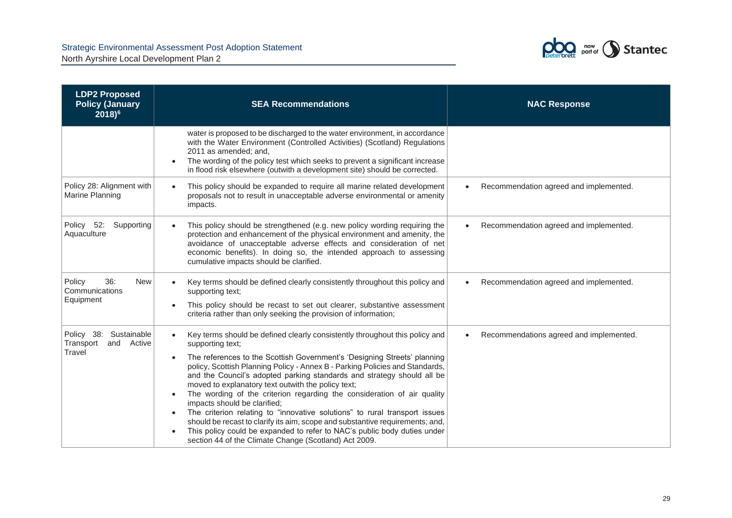

| <b>LDP2 Proposed</b><br><b>Policy (January</b><br>$2018)^6$ | <b>SEA Recommendations</b>                                                                                                                                                                                                                                                                                                                                                                                                                                                                                                                                                                                                                                                                                                                                                                                                           | <b>NAC Response</b>                     |
|-------------------------------------------------------------|--------------------------------------------------------------------------------------------------------------------------------------------------------------------------------------------------------------------------------------------------------------------------------------------------------------------------------------------------------------------------------------------------------------------------------------------------------------------------------------------------------------------------------------------------------------------------------------------------------------------------------------------------------------------------------------------------------------------------------------------------------------------------------------------------------------------------------------|-----------------------------------------|
|                                                             | water is proposed to be discharged to the water environment, in accordance<br>with the Water Environment (Controlled Activities) (Scotland) Regulations<br>2011 as amended; and,<br>The wording of the policy test which seeks to prevent a significant increase<br>in flood risk elsewhere (outwith a development site) should be corrected.                                                                                                                                                                                                                                                                                                                                                                                                                                                                                        |                                         |
| Policy 28: Alignment with<br>Marine Planning                | This policy should be expanded to require all marine related development<br>proposals not to result in unacceptable adverse environmental or amenity<br>impacts.                                                                                                                                                                                                                                                                                                                                                                                                                                                                                                                                                                                                                                                                     | Recommendation agreed and implemented.  |
| Policy 52:<br>Supporting<br>Aquaculture                     | This policy should be strengthened (e.g. new policy wording requiring the<br>protection and enhancement of the physical environment and amenity, the<br>avoidance of unacceptable adverse effects and consideration of net<br>economic benefits). In doing so, the intended approach to assessing<br>cumulative impacts should be clarified.                                                                                                                                                                                                                                                                                                                                                                                                                                                                                         | Recommendation agreed and implemented.  |
| 36:<br>Policy<br><b>New</b><br>Communications<br>Equipment  | Key terms should be defined clearly consistently throughout this policy and<br>supporting text;<br>This policy should be recast to set out clearer, substantive assessment<br>criteria rather than only seeking the provision of information;                                                                                                                                                                                                                                                                                                                                                                                                                                                                                                                                                                                        | Recommendation agreed and implemented.  |
| Policy 38: Sustainable<br>Transport<br>and Active<br>Travel | Key terms should be defined clearly consistently throughout this policy and<br>supporting text;<br>The references to the Scottish Government's 'Designing Streets' planning<br>policy, Scottish Planning Policy - Annex B - Parking Policies and Standards,<br>and the Council's adopted parking standards and strategy should all be<br>moved to explanatory text outwith the policy text;<br>The wording of the criterion regarding the consideration of air quality<br>$\bullet$<br>impacts should be clarified;<br>The criterion relating to "innovative solutions" to rural transport issues<br>$\bullet$<br>should be recast to clarify its aim, scope and substantive requirements; and,<br>This policy could be expanded to refer to NAC's public body duties under<br>section 44 of the Climate Change (Scotland) Act 2009. | Recommendations agreed and implemented. |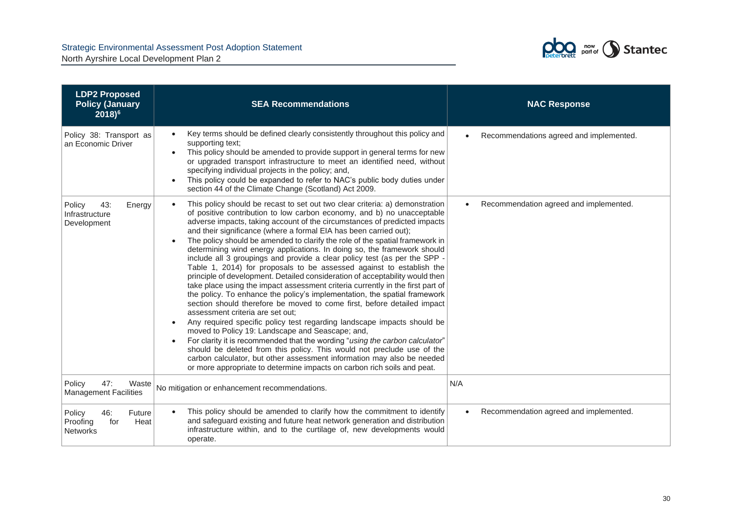

| <b>LDP2 Proposed</b><br><b>Policy (January</b><br>$2018)^6$           | <b>SEA Recommendations</b>                                                                                                                                                                                                                                                                                                                                                                                                                                                                                                                                                                                                                                                                                                                                                                                                                                                                                                                                                                                                                                                                                                                                                                                                                                                                                                                                                                                                           | <b>NAC Response</b>                     |
|-----------------------------------------------------------------------|--------------------------------------------------------------------------------------------------------------------------------------------------------------------------------------------------------------------------------------------------------------------------------------------------------------------------------------------------------------------------------------------------------------------------------------------------------------------------------------------------------------------------------------------------------------------------------------------------------------------------------------------------------------------------------------------------------------------------------------------------------------------------------------------------------------------------------------------------------------------------------------------------------------------------------------------------------------------------------------------------------------------------------------------------------------------------------------------------------------------------------------------------------------------------------------------------------------------------------------------------------------------------------------------------------------------------------------------------------------------------------------------------------------------------------------|-----------------------------------------|
| Policy 38: Transport as<br>an Economic Driver                         | Key terms should be defined clearly consistently throughout this policy and<br>supporting text;<br>This policy should be amended to provide support in general terms for new<br>or upgraded transport infrastructure to meet an identified need, without<br>specifying individual projects in the policy; and,<br>This policy could be expanded to refer to NAC's public body duties under<br>section 44 of the Climate Change (Scotland) Act 2009.                                                                                                                                                                                                                                                                                                                                                                                                                                                                                                                                                                                                                                                                                                                                                                                                                                                                                                                                                                                  | Recommendations agreed and implemented. |
| 43:<br>Policy<br>Energy<br>Infrastructure<br>Development              | This policy should be recast to set out two clear criteria: a) demonstration<br>of positive contribution to low carbon economy, and b) no unacceptable<br>adverse impacts, taking account of the circumstances of predicted impacts<br>and their significance (where a formal EIA has been carried out);<br>The policy should be amended to clarify the role of the spatial framework in<br>determining wind energy applications. In doing so, the framework should<br>include all 3 groupings and provide a clear policy test (as per the SPP -<br>Table 1, 2014) for proposals to be assessed against to establish the<br>principle of development. Detailed consideration of acceptability would then<br>take place using the impact assessment criteria currently in the first part of<br>the policy. To enhance the policy's implementation, the spatial framework<br>section should therefore be moved to come first, before detailed impact<br>assessment criteria are set out;<br>Any required specific policy test regarding landscape impacts should be<br>moved to Policy 19: Landscape and Seascape; and,<br>For clarity it is recommended that the wording "using the carbon calculator"<br>should be deleted from this policy. This would not preclude use of the<br>carbon calculator, but other assessment information may also be needed<br>or more appropriate to determine impacts on carbon rich soils and peat. | Recommendation agreed and implemented.  |
| Policy<br>47:<br>Waste<br><b>Management Facilities</b>                | No mitigation or enhancement recommendations.                                                                                                                                                                                                                                                                                                                                                                                                                                                                                                                                                                                                                                                                                                                                                                                                                                                                                                                                                                                                                                                                                                                                                                                                                                                                                                                                                                                        | N/A                                     |
| Future<br>Policy<br>46:<br>for<br>Heat<br>Proofing<br><b>Networks</b> | This policy should be amended to clarify how the commitment to identify<br>and safeguard existing and future heat network generation and distribution<br>infrastructure within, and to the curtilage of, new developments would<br>operate.                                                                                                                                                                                                                                                                                                                                                                                                                                                                                                                                                                                                                                                                                                                                                                                                                                                                                                                                                                                                                                                                                                                                                                                          | Recommendation agreed and implemented.  |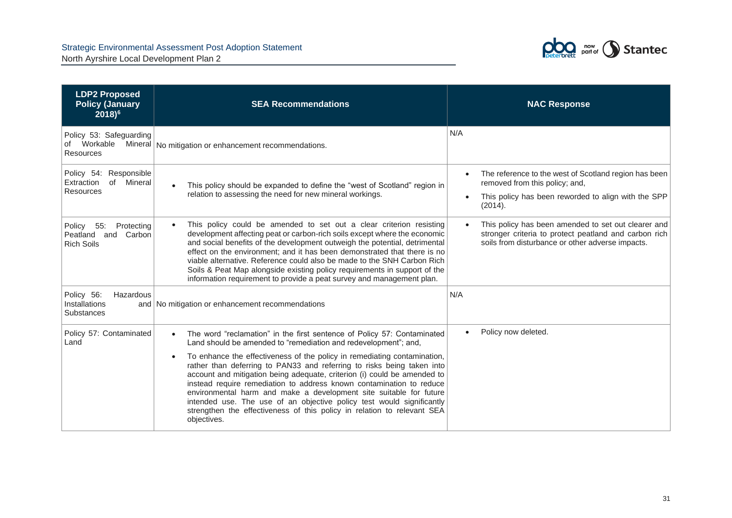

| <b>LDP2 Proposed</b><br><b>Policy (January</b><br>$2018)^6$                   | <b>SEA Recommendations</b>                                                                                                                                                                                                                                                                                                                                                                                                                                                                                                                                                                                                                                                                                 | <b>NAC Response</b>                                                                                                                                              |
|-------------------------------------------------------------------------------|------------------------------------------------------------------------------------------------------------------------------------------------------------------------------------------------------------------------------------------------------------------------------------------------------------------------------------------------------------------------------------------------------------------------------------------------------------------------------------------------------------------------------------------------------------------------------------------------------------------------------------------------------------------------------------------------------------|------------------------------------------------------------------------------------------------------------------------------------------------------------------|
| Policy 53: Safeguarding<br>of Workable<br>Resources                           | Mineral   No mitigation or enhancement recommendations.                                                                                                                                                                                                                                                                                                                                                                                                                                                                                                                                                                                                                                                    | N/A                                                                                                                                                              |
| Policy 54: Responsible<br>of Mineral<br>Extraction<br>Resources               | This policy should be expanded to define the "west of Scotland" region in<br>relation to assessing the need for new mineral workings.                                                                                                                                                                                                                                                                                                                                                                                                                                                                                                                                                                      | The reference to the west of Scotland region has been<br>removed from this policy; and,<br>This policy has been reworded to align with the SPP<br>(2014).        |
| Protecting<br>Policy<br>55:<br>and<br>Carbon<br>Peatland<br><b>Rich Soils</b> | This policy could be amended to set out a clear criterion resisting<br>development affecting peat or carbon-rich soils except where the economic<br>and social benefits of the development outweigh the potential, detrimental<br>effect on the environment; and it has been demonstrated that there is no<br>viable alternative. Reference could also be made to the SNH Carbon Rich<br>Soils & Peat Map alongside existing policy requirements in support of the<br>information requirement to provide a peat survey and management plan.                                                                                                                                                                | This policy has been amended to set out clearer and<br>stronger criteria to protect peatland and carbon rich<br>soils from disturbance or other adverse impacts. |
| Policy 56:<br>Hazardous<br>Installations<br><b>Substances</b>                 | and   No mitigation or enhancement recommendations                                                                                                                                                                                                                                                                                                                                                                                                                                                                                                                                                                                                                                                         | N/A                                                                                                                                                              |
| Policy 57: Contaminated<br>Land                                               | The word "reclamation" in the first sentence of Policy 57: Contaminated<br>$\bullet$<br>Land should be amended to "remediation and redevelopment"; and,<br>To enhance the effectiveness of the policy in remediating contamination,<br>rather than deferring to PAN33 and referring to risks being taken into<br>account and mitigation being adequate, criterion (i) could be amended to<br>instead require remediation to address known contamination to reduce<br>environmental harm and make a development site suitable for future<br>intended use. The use of an objective policy test would significantly<br>strengthen the effectiveness of this policy in relation to relevant SEA<br>objectives. | Policy now deleted.                                                                                                                                              |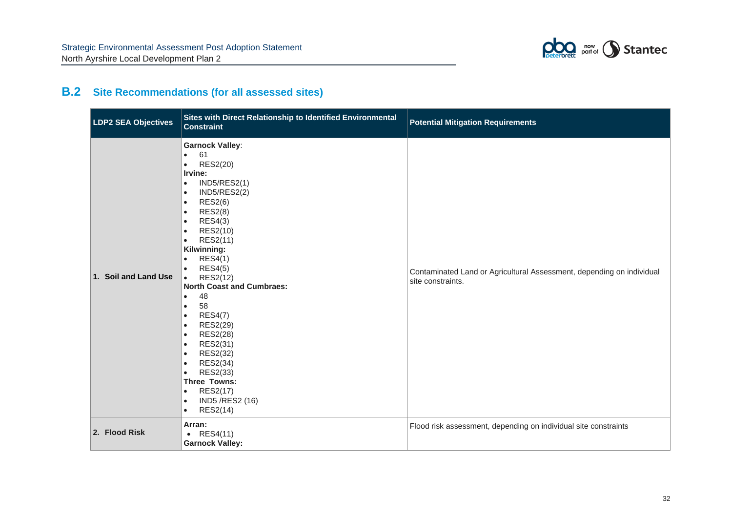

## **B.2 Site Recommendations (for all assessed sites)**

| <b>LDP2 SEA Objectives</b> | Sites with Direct Relationship to Identified Environmental<br><b>Constraint</b>                                                                                                                                                                                                                                                                                                                                                                                                                                                                                                                                                                                                                                                                         | <b>Potential Mitigation Requirements</b>                                                   |
|----------------------------|---------------------------------------------------------------------------------------------------------------------------------------------------------------------------------------------------------------------------------------------------------------------------------------------------------------------------------------------------------------------------------------------------------------------------------------------------------------------------------------------------------------------------------------------------------------------------------------------------------------------------------------------------------------------------------------------------------------------------------------------------------|--------------------------------------------------------------------------------------------|
| 1. Soil and Land Use       | <b>Garnock Valley:</b><br>61<br>$\bullet$<br>RES2(20)<br>$\bullet$<br>Irvine:<br>IND5/RES2(1)<br>$\bullet$<br>IND5/RES2(2)<br>$\bullet$<br><b>RES2(6)</b><br>$\bullet$<br>RES2(8)<br>$\bullet$<br><b>RES4(3)</b><br>$\bullet$<br>RES2(10)<br>$\bullet$<br>RES2(11)<br>$\bullet$<br>Kilwinning:<br><b>RES4(1)</b><br>$\bullet$<br><b>RES4(5)</b><br>$\bullet$<br>RES2(12)<br>$\bullet$<br><b>North Coast and Cumbraes:</b><br>48<br>$\bullet$<br>58<br>$\bullet$<br><b>RES4(7)</b><br>$\bullet$<br>RES2(29)<br>$\bullet$<br>RES2(28)<br>$\bullet$<br>RES2(31)<br>$\bullet$<br>RES2(32)<br>$\bullet$<br>RES2(34)<br>$\bullet$<br>RES2(33)<br>$\bullet$<br>Three Towns:<br>RES2(17)<br>$\bullet$<br>IND5 / RES2 (16)<br>$\bullet$<br>RES2(14)<br>$\bullet$ | Contaminated Land or Agricultural Assessment, depending on individual<br>site constraints. |
| 2. Flood Risk              | Arran:<br>• $RES4(11)$<br><b>Garnock Valley:</b>                                                                                                                                                                                                                                                                                                                                                                                                                                                                                                                                                                                                                                                                                                        | Flood risk assessment, depending on individual site constraints                            |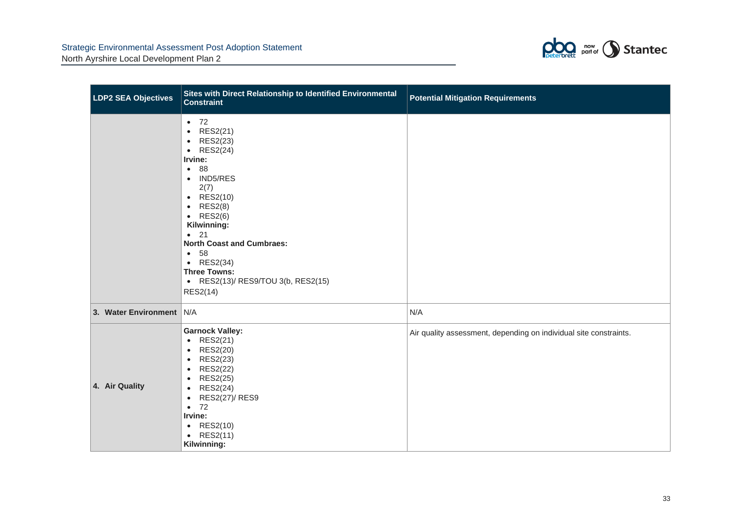

| <b>LDP2 SEA Objectives</b> | Sites with Direct Relationship to Identified Environmental<br><b>Constraint</b>                                                                                                                                                                                                                                                                                                                                 | <b>Potential Mitigation Requirements</b>                          |
|----------------------------|-----------------------------------------------------------------------------------------------------------------------------------------------------------------------------------------------------------------------------------------------------------------------------------------------------------------------------------------------------------------------------------------------------------------|-------------------------------------------------------------------|
|                            | $\bullet$ 72<br>RES2(21)<br>$\bullet$<br>RES2(23)<br>$\bullet$<br>$\bullet$ RES2(24)<br>Irvine:<br>88<br>$\bullet$<br>IND5/RES<br>$\bullet$<br>2(7)<br>• $RES2(10)$<br><b>RES2(8)</b><br>$\bullet$<br>$\bullet$ RES2(6)<br>Kilwinning:<br>$\bullet$ 21<br><b>North Coast and Cumbraes:</b><br>58<br>$\bullet$<br>RES2(34)<br>$\bullet$<br><b>Three Towns:</b><br>• RES2(13)/ RES9/TOU 3(b, RES2(15)<br>RES2(14) |                                                                   |
| 3. Water Environment   N/A |                                                                                                                                                                                                                                                                                                                                                                                                                 | N/A                                                               |
| 4. Air Quality             | <b>Garnock Valley:</b><br>$\bullet$ RES2(21)<br>RES2(20)<br>$\bullet$<br>RES2(23)<br>$\bullet$<br>RES2(22)<br>$\bullet$<br>RES2(25)<br>$\bullet$<br>RES2(24)<br>$\bullet$<br>RES2(27)/ RES9<br>$\bullet$<br>• 72<br>Irvine:<br>• $RES2(10)$<br>$\bullet$ RES2(11)<br>Kilwinning:                                                                                                                                | Air quality assessment, depending on individual site constraints. |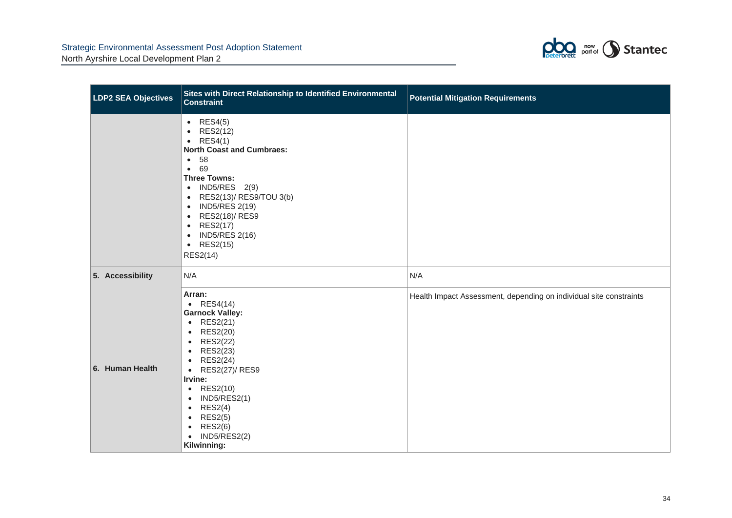

| <b>LDP2 SEA Objectives</b> | Sites with Direct Relationship to Identified Environmental<br><b>Constraint</b>                                                                                                                                                                                                                                                                                                                                                    | <b>Potential Mitigation Requirements</b>                           |
|----------------------------|------------------------------------------------------------------------------------------------------------------------------------------------------------------------------------------------------------------------------------------------------------------------------------------------------------------------------------------------------------------------------------------------------------------------------------|--------------------------------------------------------------------|
|                            | <b>RES4(5)</b><br>$\bullet$<br>RES2(12)<br>$\bullet$<br><b>RES4(1)</b><br>$\bullet$<br><b>North Coast and Cumbraes:</b><br>58<br>$\bullet$<br>69<br>$\bullet$<br><b>Three Towns:</b><br>IND5/RES 2(9)<br>$\bullet$<br>RES2(13)/ RES9/TOU 3(b)<br>$\bullet$<br><b>IND5/RES 2(19)</b><br>$\bullet$<br>RES2(18)/RES9<br>$\bullet$<br>RES2(17)<br>$\bullet$<br><b>IND5/RES 2(16)</b><br>$\bullet$<br>RES2(15)<br>$\bullet$<br>RES2(14) |                                                                    |
| 5. Accessibility           | N/A                                                                                                                                                                                                                                                                                                                                                                                                                                | N/A                                                                |
| 6. Human Health            | Arran:<br>• $RES4(14)$<br><b>Garnock Valley:</b><br>RES2(21)<br>$\bullet$<br>RES2(20)<br>$\bullet$<br>RES2(22)<br>$\bullet$<br>RES2(23)<br>$\bullet$<br>RES2(24)<br>$\bullet$<br>RES2(27)/ RES9<br>$\bullet$<br>Irvine:<br>RES2(10)<br>$\bullet$<br>IND5/RES2(1)<br>$\bullet$<br>RES2(4)<br>$\bullet$<br><b>RES2(5)</b><br>$\bullet$<br><b>RES2(6)</b><br>$\bullet$<br>IND5/RES2(2)<br>$\bullet$<br>Kilwinning:                    | Health Impact Assessment, depending on individual site constraints |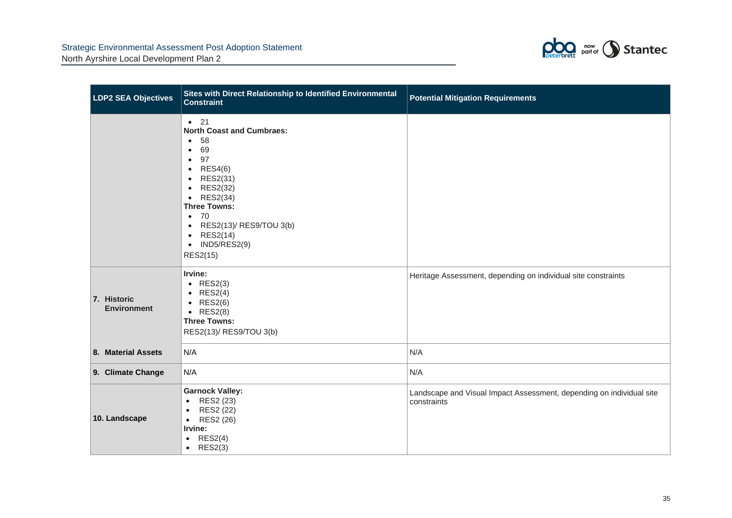

|               | <b>LDP2 SEA Objectives</b> | Sites with Direct Relationship to Identified Environmental<br><b>Constraint</b>                                                                                                                                                                                                                                                                                         | <b>Potential Mitigation Requirements</b>                                            |
|---------------|----------------------------|-------------------------------------------------------------------------------------------------------------------------------------------------------------------------------------------------------------------------------------------------------------------------------------------------------------------------------------------------------------------------|-------------------------------------------------------------------------------------|
|               |                            | $\bullet$ 21<br><b>North Coast and Cumbraes:</b><br>58<br>$\bullet$<br>69<br>$\bullet$<br>97<br>$\bullet$<br><b>RES4(6)</b><br>$\bullet$<br>RES2(31)<br>$\bullet$<br>RES2(32)<br>$\bullet$<br>RES2(34)<br>$\bullet$<br><b>Three Towns:</b><br>70<br>$\bullet$<br>RES2(13)/ RES9/TOU 3(b)<br>$\bullet$<br>RES2(14)<br>$\bullet$<br>IND5/RES2(9)<br>$\bullet$<br>RES2(15) |                                                                                     |
| 7. Historic   | <b>Environment</b>         | Irvine:<br>$\bullet$ RES2(3)<br>$\bullet$ RES2(4)<br>$\bullet$ RES2(6)<br>$\bullet$ RES2(8)<br><b>Three Towns:</b><br>RES2(13)/ RES9/TOU 3(b)                                                                                                                                                                                                                           | Heritage Assessment, depending on individual site constraints                       |
|               | 8. Material Assets         | N/A                                                                                                                                                                                                                                                                                                                                                                     | N/A                                                                                 |
|               | 9. Climate Change          | N/A                                                                                                                                                                                                                                                                                                                                                                     | N/A                                                                                 |
| 10. Landscape |                            | <b>Garnock Valley:</b><br>RES2 (23)<br>$\bullet$<br>RES2 (22)<br>$\bullet$<br>RES2 (26)<br>$\bullet$<br>Irvine:<br>RES2(4)<br>$\bullet$<br><b>RES2(3)</b><br>$\bullet$                                                                                                                                                                                                  | Landscape and Visual Impact Assessment, depending on individual site<br>constraints |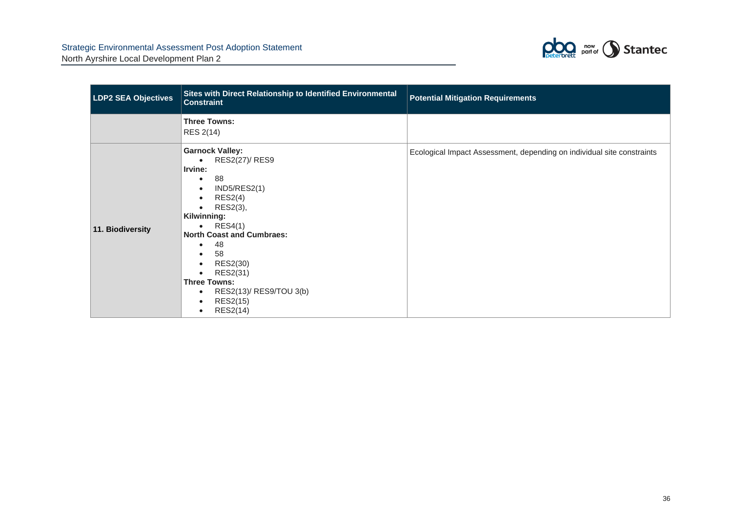

| <b>LDP2 SEA Objectives</b> | Sites with Direct Relationship to Identified Environmental<br><b>Constraint</b>                                                                                                                                                                                                                                                                                                                                                                    | <b>Potential Mitigation Requirements</b>                               |
|----------------------------|----------------------------------------------------------------------------------------------------------------------------------------------------------------------------------------------------------------------------------------------------------------------------------------------------------------------------------------------------------------------------------------------------------------------------------------------------|------------------------------------------------------------------------|
|                            | <b>Three Towns:</b><br>RES 2(14)                                                                                                                                                                                                                                                                                                                                                                                                                   |                                                                        |
| 11. Biodiversity           | <b>Garnock Valley:</b><br>RES2(27)/ RES9<br>$\bullet$<br>Irvine:<br>88<br>$\bullet$<br>IND5/RES2(1)<br>$\bullet$<br>RES2(4)<br>$\bullet$<br>RES2(3),<br>$\bullet$<br>Kilwinning:<br>$\bullet$ RES4(1)<br><b>North Coast and Cumbraes:</b><br>48<br>$\bullet$<br>58<br>$\bullet$<br>RES2(30)<br>$\bullet$<br>RES2(31)<br>$\bullet$<br><b>Three Towns:</b><br>RES2(13)/ RES9/TOU 3(b)<br>$\bullet$<br>RES2(15)<br>$\bullet$<br>RES2(14)<br>$\bullet$ | Ecological Impact Assessment, depending on individual site constraints |